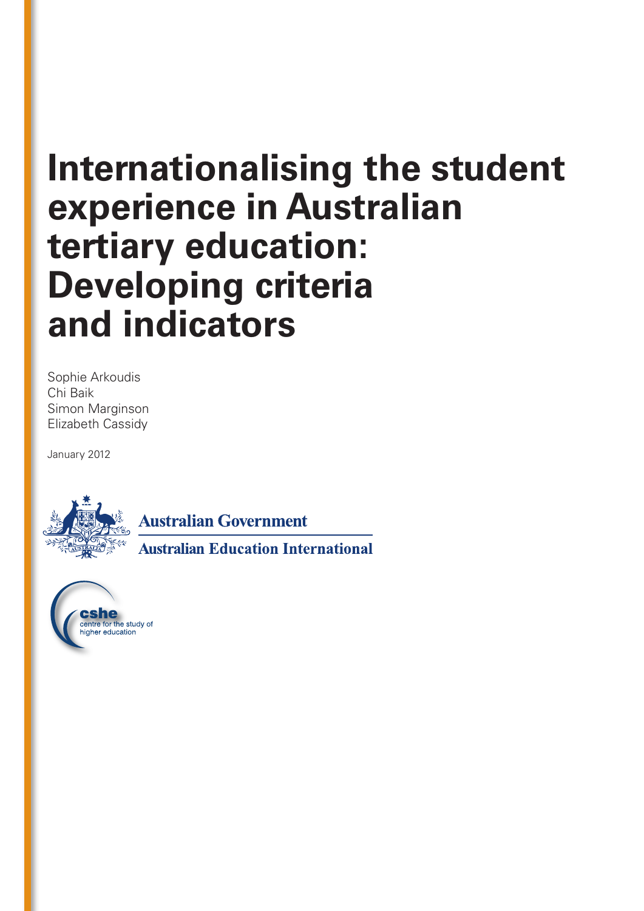# **Internationalising the student experience in Australian tertiary education: Developing criteria and indicators**

Sophie Arkoudis Chi Baik Simon Marginson Elizabeth Cassidy

January 2012



**Australian Government** 

**Australian Education International** 

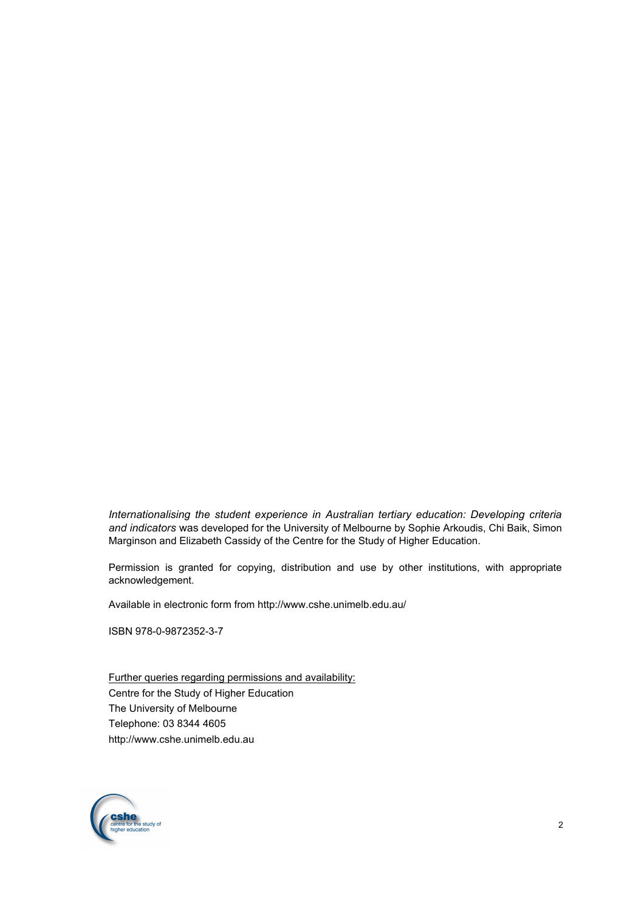*Internationalising the student experience in Australian tertiary education: Developing criteria and indicators* was developed for the University of Melbourne by Sophie Arkoudis, Chi Baik, Simon Marginson and Elizabeth Cassidy of the Centre for the Study of Higher Education.

Permission is granted for copying, distribution and use by other institutions, with appropriate acknowledgement.

Available in electronic form from http://www.cshe.unimelb.edu.au/

ISBN 978-0-9872352-3-7

Further queries regarding permissions and availability: Centre for the Study of Higher Education The University of Melbourne Telephone: 03 8344 4605 http://www.cshe.unimelb.edu.au

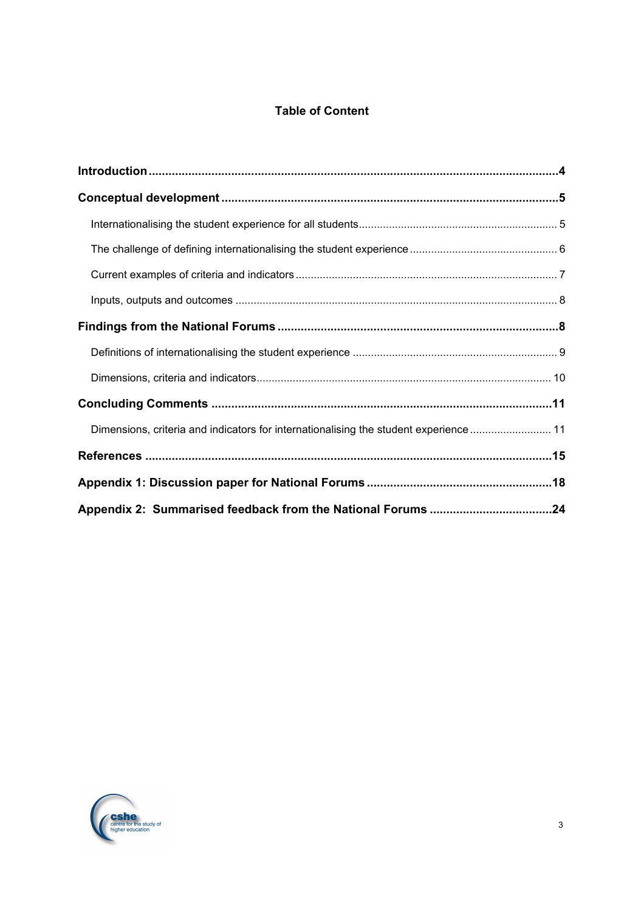# **Table of Content**

| Dimensions, criteria and indicators for internationalising the student experience  11 |  |
|---------------------------------------------------------------------------------------|--|
|                                                                                       |  |
|                                                                                       |  |
|                                                                                       |  |

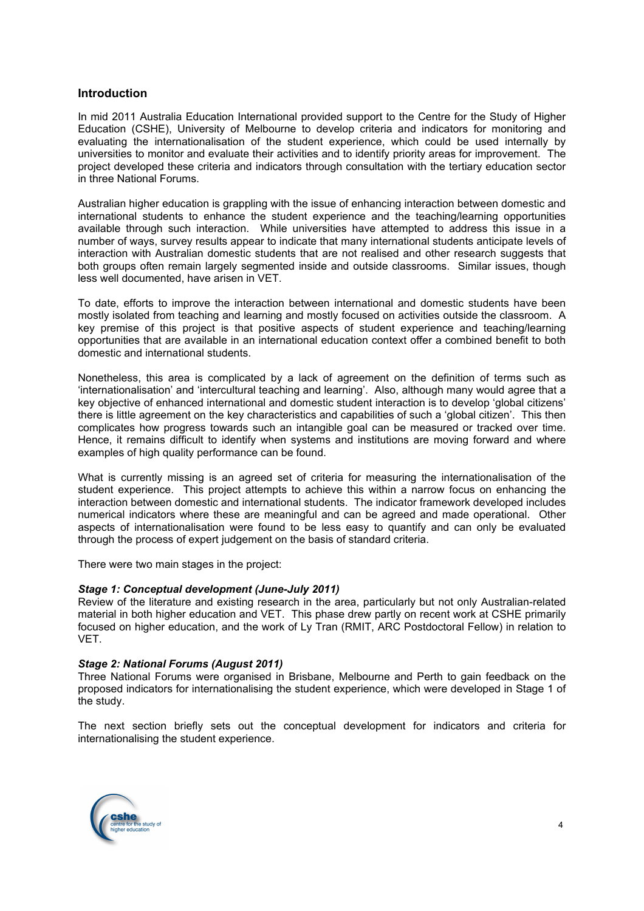# **Introduction**

In mid 2011 Australia Education International provided support to the Centre for the Study of Higher Education (CSHE), University of Melbourne to develop criteria and indicators for monitoring and evaluating the internationalisation of the student experience, which could be used internally by universities to monitor and evaluate their activities and to identify priority areas for improvement. The project developed these criteria and indicators through consultation with the tertiary education sector in three National Forums.

Australian higher education is grappling with the issue of enhancing interaction between domestic and international students to enhance the student experience and the teaching/learning opportunities available through such interaction. While universities have attempted to address this issue in a number of ways, survey results appear to indicate that many international students anticipate levels of interaction with Australian domestic students that are not realised and other research suggests that both groups often remain largely segmented inside and outside classrooms. Similar issues, though less well documented, have arisen in VET.

To date, efforts to improve the interaction between international and domestic students have been mostly isolated from teaching and learning and mostly focused on activities outside the classroom. A key premise of this project is that positive aspects of student experience and teaching/learning opportunities that are available in an international education context offer a combined benefit to both domestic and international students.

Nonetheless, this area is complicated by a lack of agreement on the definition of terms such as 'internationalisation' and 'intercultural teaching and learning'. Also, although many would agree that a key objective of enhanced international and domestic student interaction is to develop 'global citizens' there is little agreement on the key characteristics and capabilities of such a 'global citizen'. This then complicates how progress towards such an intangible goal can be measured or tracked over time. Hence, it remains difficult to identify when systems and institutions are moving forward and where examples of high quality performance can be found.

What is currently missing is an agreed set of criteria for measuring the internationalisation of the student experience. This project attempts to achieve this within a narrow focus on enhancing the interaction between domestic and international students. The indicator framework developed includes numerical indicators where these are meaningful and can be agreed and made operational. Other aspects of internationalisation were found to be less easy to quantify and can only be evaluated through the process of expert judgement on the basis of standard criteria.

There were two main stages in the project:

## *Stage 1: Conceptual development (June-July 2011)*

Review of the literature and existing research in the area, particularly but not only Australian-related material in both higher education and VET. This phase drew partly on recent work at CSHE primarily focused on higher education, and the work of Ly Tran (RMIT, ARC Postdoctoral Fellow) in relation to VET.

## *Stage 2: National Forums (August 2011)*

Three National Forums were organised in Brisbane, Melbourne and Perth to gain feedback on the proposed indicators for internationalising the student experience, which were developed in Stage 1 of the study.

The next section briefly sets out the conceptual development for indicators and criteria for internationalising the student experience.

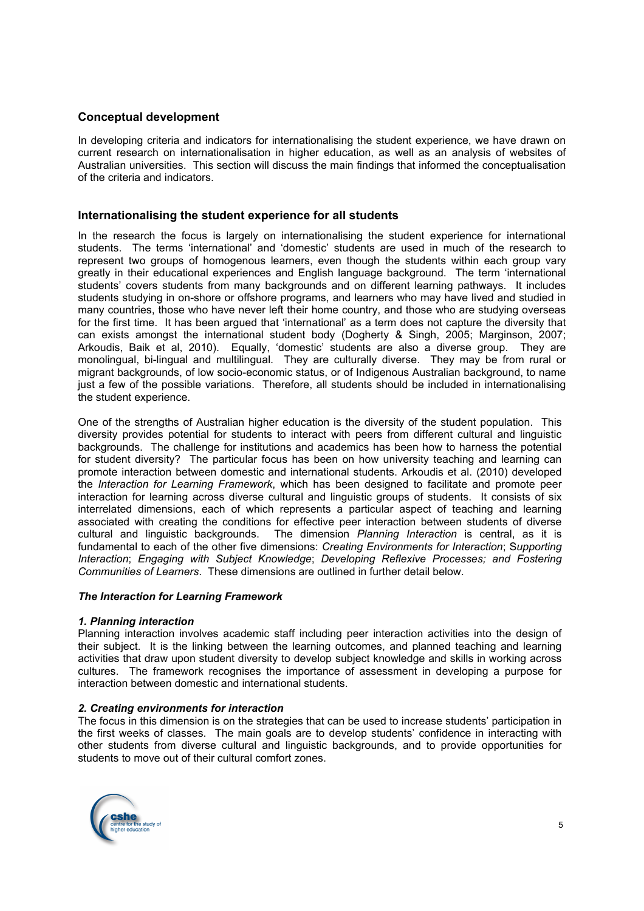# **Conceptual development**

In developing criteria and indicators for internationalising the student experience, we have drawn on current research on internationalisation in higher education, as well as an analysis of websites of Australian universities. This section will discuss the main findings that informed the conceptualisation of the criteria and indicators.

# **Internationalising the student experience for all students**

In the research the focus is largely on internationalising the student experience for international students. The terms 'international' and 'domestic' students are used in much of the research to represent two groups of homogenous learners, even though the students within each group vary greatly in their educational experiences and English language background. The term 'international students' covers students from many backgrounds and on different learning pathways. It includes students studying in on-shore or offshore programs, and learners who may have lived and studied in many countries, those who have never left their home country, and those who are studying overseas for the first time. It has been argued that 'international' as a term does not capture the diversity that can exists amongst the international student body (Dogherty & Singh, 2005; Marginson, 2007; Arkoudis, Baik et al, 2010). Equally, 'domestic' students are also a diverse group. They are monolingual, bi-lingual and multilingual. They are culturally diverse. They may be from rural or migrant backgrounds, of low socio-economic status, or of Indigenous Australian background, to name just a few of the possible variations. Therefore, all students should be included in internationalising the student experience.

One of the strengths of Australian higher education is the diversity of the student population. This diversity provides potential for students to interact with peers from different cultural and linguistic backgrounds. The challenge for institutions and academics has been how to harness the potential for student diversity? The particular focus has been on how university teaching and learning can promote interaction between domestic and international students. Arkoudis et al. (2010) developed the *Interaction for Learning Framework*, which has been designed to facilitate and promote peer interaction for learning across diverse cultural and linguistic groups of students. It consists of six interrelated dimensions, each of which represents a particular aspect of teaching and learning associated with creating the conditions for effective peer interaction between students of diverse cultural and linguistic backgrounds. The dimension *Planning Interaction* is central, as it is fundamental to each of the other five dimensions: *Creating Environments for Interaction*; S*upporting Interaction*; *Engaging with Subject Knowledge*; *Developing Reflexive Processes; and Fostering Communities of Learners*. These dimensions are outlined in further detail below.

## *The Interaction for Learning Framework*

## *1. Planning interaction*

Planning interaction involves academic staff including peer interaction activities into the design of their subject. It is the linking between the learning outcomes, and planned teaching and learning activities that draw upon student diversity to develop subject knowledge and skills in working across cultures. The framework recognises the importance of assessment in developing a purpose for interaction between domestic and international students.

## *2. Creating environments for interaction*

The focus in this dimension is on the strategies that can be used to increase students' participation in the first weeks of classes. The main goals are to develop students' confidence in interacting with other students from diverse cultural and linguistic backgrounds, and to provide opportunities for students to move out of their cultural comfort zones.

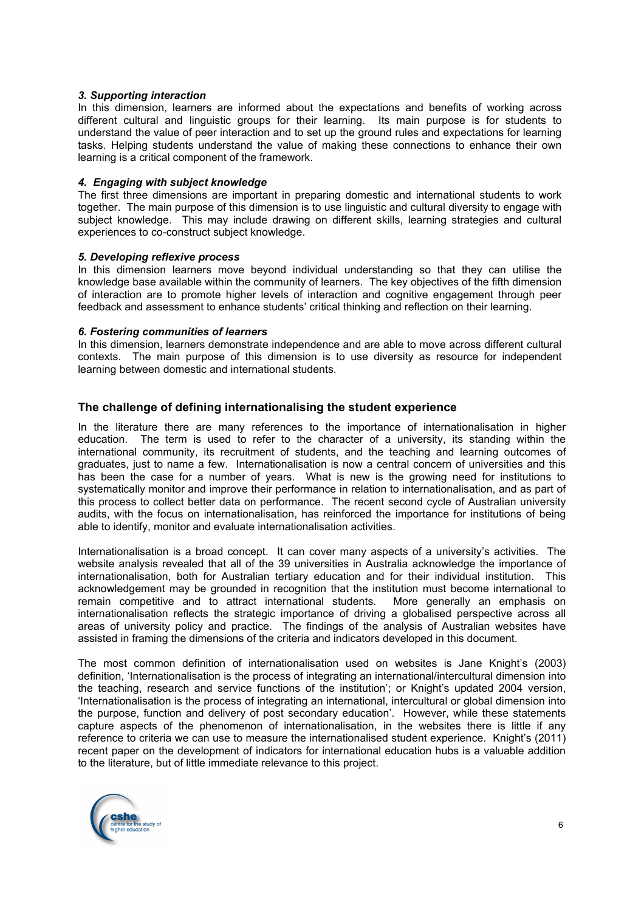#### *3. Supporting interaction*

In this dimension, learners are informed about the expectations and benefits of working across different cultural and linguistic groups for their learning. Its main purpose is for students to understand the value of peer interaction and to set up the ground rules and expectations for learning tasks. Helping students understand the value of making these connections to enhance their own learning is a critical component of the framework.

#### *4. Engaging with subject knowledge*

The first three dimensions are important in preparing domestic and international students to work together. The main purpose of this dimension is to use linguistic and cultural diversity to engage with subject knowledge. This may include drawing on different skills, learning strategies and cultural experiences to co-construct subject knowledge.

#### *5. Developing reflexive process*

In this dimension learners move beyond individual understanding so that they can utilise the knowledge base available within the community of learners. The key objectives of the fifth dimension of interaction are to promote higher levels of interaction and cognitive engagement through peer feedback and assessment to enhance students' critical thinking and reflection on their learning.

#### *6. Fostering communities of learners*

In this dimension, learners demonstrate independence and are able to move across different cultural contexts. The main purpose of this dimension is to use diversity as resource for independent learning between domestic and international students.

# **The challenge of defining internationalising the student experience**

In the literature there are many references to the importance of internationalisation in higher education. The term is used to refer to the character of a university, its standing within the international community, its recruitment of students, and the teaching and learning outcomes of graduates, just to name a few. Internationalisation is now a central concern of universities and this has been the case for a number of years. What is new is the growing need for institutions to systematically monitor and improve their performance in relation to internationalisation, and as part of this process to collect better data on performance. The recent second cycle of Australian university audits, with the focus on internationalisation, has reinforced the importance for institutions of being able to identify, monitor and evaluate internationalisation activities.

Internationalisation is a broad concept. It can cover many aspects of a university's activities. The website analysis revealed that all of the 39 universities in Australia acknowledge the importance of internationalisation, both for Australian tertiary education and for their individual institution. This acknowledgement may be grounded in recognition that the institution must become international to remain competitive and to attract international students. More generally an emphasis on internationalisation reflects the strategic importance of driving a globalised perspective across all areas of university policy and practice. The findings of the analysis of Australian websites have assisted in framing the dimensions of the criteria and indicators developed in this document.

The most common definition of internationalisation used on websites is Jane Knight's (2003) definition, 'Internationalisation is the process of integrating an international/intercultural dimension into the teaching, research and service functions of the institution'; or Knight's updated 2004 version, 'Internationalisation is the process of integrating an international, intercultural or global dimension into the purpose, function and delivery of post secondary education'. However, while these statements capture aspects of the phenomenon of internationalisation, in the websites there is little if any reference to criteria we can use to measure the internationalised student experience. Knight's (2011) recent paper on the development of indicators for international education hubs is a valuable addition to the literature, but of little immediate relevance to this project.

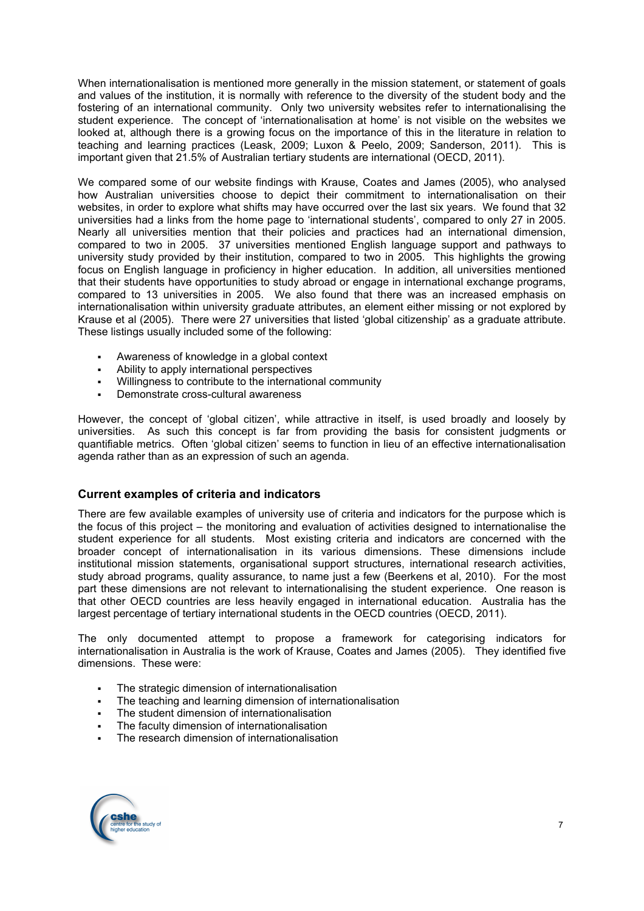When internationalisation is mentioned more generally in the mission statement, or statement of goals and values of the institution, it is normally with reference to the diversity of the student body and the fostering of an international community. Only two university websites refer to internationalising the student experience. The concept of 'internationalisation at home' is not visible on the websites we looked at, although there is a growing focus on the importance of this in the literature in relation to teaching and learning practices (Leask, 2009; Luxon & Peelo, 2009; Sanderson, 2011). This is important given that 21.5% of Australian tertiary students are international (OECD, 2011).

We compared some of our website findings with Krause, Coates and James (2005), who analysed how Australian universities choose to depict their commitment to internationalisation on their websites, in order to explore what shifts may have occurred over the last six years. We found that 32 universities had a links from the home page to 'international students', compared to only 27 in 2005. Nearly all universities mention that their policies and practices had an international dimension, compared to two in 2005. 37 universities mentioned English language support and pathways to university study provided by their institution, compared to two in 2005. This highlights the growing focus on English language in proficiency in higher education. In addition, all universities mentioned that their students have opportunities to study abroad or engage in international exchange programs, compared to 13 universities in 2005. We also found that there was an increased emphasis on internationalisation within university graduate attributes, an element either missing or not explored by Krause et al (2005). There were 27 universities that listed 'global citizenship' as a graduate attribute. These listings usually included some of the following:

- Awareness of knowledge in a global context
- Ability to apply international perspectives
- Willingness to contribute to the international community
- Demonstrate cross-cultural awareness

However, the concept of 'global citizen', while attractive in itself, is used broadly and loosely by universities. As such this concept is far from providing the basis for consistent judgments or quantifiable metrics. Often 'global citizen' seems to function in lieu of an effective internationalisation agenda rather than as an expression of such an agenda.

## **Current examples of criteria and indicators**

There are few available examples of university use of criteria and indicators for the purpose which is the focus of this project – the monitoring and evaluation of activities designed to internationalise the student experience for all students. Most existing criteria and indicators are concerned with the broader concept of internationalisation in its various dimensions. These dimensions include institutional mission statements, organisational support structures, international research activities, study abroad programs, quality assurance, to name just a few (Beerkens et al, 2010). For the most part these dimensions are not relevant to internationalising the student experience. One reason is that other OECD countries are less heavily engaged in international education. Australia has the largest percentage of tertiary international students in the OECD countries (OECD, 2011).

The only documented attempt to propose a framework for categorising indicators for internationalisation in Australia is the work of Krause, Coates and James (2005). They identified five dimensions. These were:

- The strategic dimension of internationalisation
- The teaching and learning dimension of internationalisation
- The student dimension of internationalisation
- The faculty dimension of internationalisation
- The research dimension of internationalisation

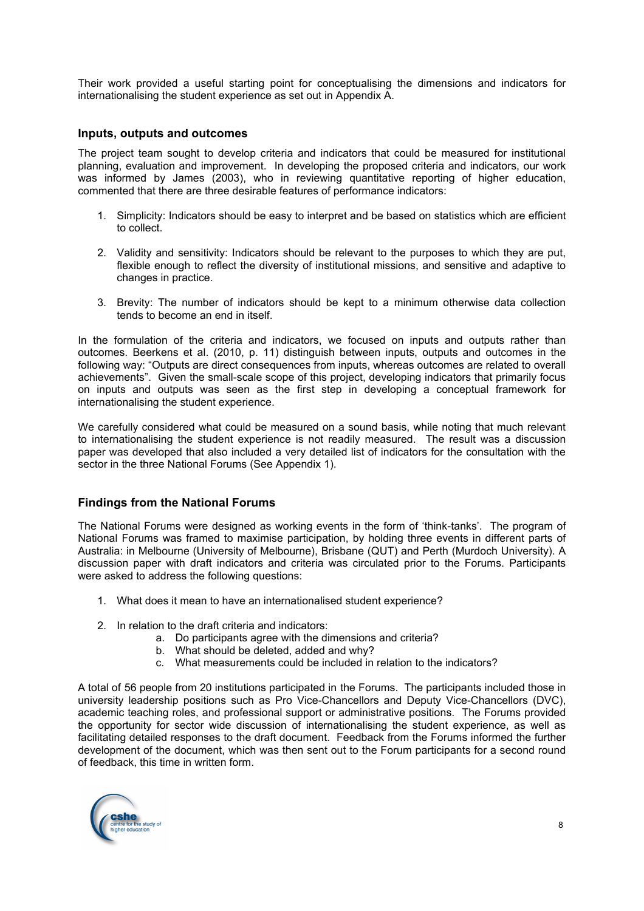Their work provided a useful starting point for conceptualising the dimensions and indicators for internationalising the student experience as set out in Appendix A.

## **Inputs, outputs and outcomes**

The project team sought to develop criteria and indicators that could be measured for institutional planning, evaluation and improvement. In developing the proposed criteria and indicators, our work was informed by James (2003), who in reviewing quantitative reporting of higher education, commented that there are three desirable features of performance indicators:

- 1. Simplicity: Indicators should be easy to interpret and be based on statistics which are efficient to collect.
- 2. Validity and sensitivity: Indicators should be relevant to the purposes to which they are put, flexible enough to reflect the diversity of institutional missions, and sensitive and adaptive to changes in practice.
- 3. Brevity: The number of indicators should be kept to a minimum otherwise data collection tends to become an end in itself.

In the formulation of the criteria and indicators, we focused on inputs and outputs rather than outcomes. Beerkens et al. (2010, p. 11) distinguish between inputs, outputs and outcomes in the following way: "Outputs are direct consequences from inputs, whereas outcomes are related to overall achievements". Given the small-scale scope of this project, developing indicators that primarily focus on inputs and outputs was seen as the first step in developing a conceptual framework for internationalising the student experience.

We carefully considered what could be measured on a sound basis, while noting that much relevant to internationalising the student experience is not readily measured. The result was a discussion paper was developed that also included a very detailed list of indicators for the consultation with the sector in the three National Forums (See Appendix 1).

## **Findings from the National Forums**

The National Forums were designed as working events in the form of 'think-tanks'. The program of National Forums was framed to maximise participation, by holding three events in different parts of Australia: in Melbourne (University of Melbourne), Brisbane (QUT) and Perth (Murdoch University). A discussion paper with draft indicators and criteria was circulated prior to the Forums. Participants were asked to address the following questions:

- 1. What does it mean to have an internationalised student experience?
- 2. In relation to the draft criteria and indicators:
	- a. Do participants agree with the dimensions and criteria?
	- b. What should be deleted, added and why?
	- c. What measurements could be included in relation to the indicators?

A total of 56 people from 20 institutions participated in the Forums. The participants included those in university leadership positions such as Pro Vice-Chancellors and Deputy Vice-Chancellors (DVC), academic teaching roles, and professional support or administrative positions. The Forums provided the opportunity for sector wide discussion of internationalising the student experience, as well as facilitating detailed responses to the draft document. Feedback from the Forums informed the further development of the document, which was then sent out to the Forum participants for a second round of feedback, this time in written form.

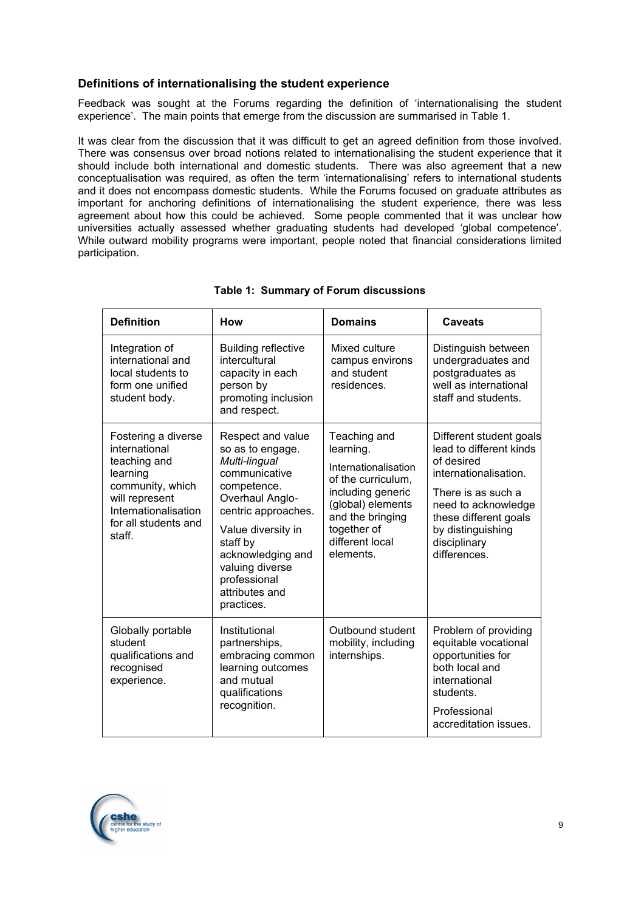# **Definitions of internationalising the student experience**

Feedback was sought at the Forums regarding the definition of 'internationalising the student experience'. The main points that emerge from the discussion are summarised in Table 1.

It was clear from the discussion that it was difficult to get an agreed definition from those involved. There was consensus over broad notions related to internationalising the student experience that it should include both international and domestic students. There was also agreement that a new conceptualisation was required, as often the term 'internationalising' refers to international students and it does not encompass domestic students. While the Forums focused on graduate attributes as important for anchoring definitions of internationalising the student experience, there was less agreement about how this could be achieved. Some people commented that it was unclear how universities actually assessed whether graduating students had developed 'global competence'. While outward mobility programs were important, people noted that financial considerations limited participation.

| <b>Definition</b>                                                                                                                                                | <b>How</b>                                                                                                                                                                                                                                                 | <b>Domains</b>                                                                                                                                                                       | <b>Caveats</b>                                                                                                                                                                                                       |
|------------------------------------------------------------------------------------------------------------------------------------------------------------------|------------------------------------------------------------------------------------------------------------------------------------------------------------------------------------------------------------------------------------------------------------|--------------------------------------------------------------------------------------------------------------------------------------------------------------------------------------|----------------------------------------------------------------------------------------------------------------------------------------------------------------------------------------------------------------------|
| Integration of<br>international and<br>local students to<br>form one unified<br>student body.                                                                    | <b>Building reflective</b><br>intercultural<br>capacity in each<br>person by<br>promoting inclusion<br>and respect.                                                                                                                                        | Mixed culture<br>campus environs<br>and student<br>residences.                                                                                                                       | Distinguish between<br>undergraduates and<br>postgraduates as<br>well as international<br>staff and students.                                                                                                        |
| Fostering a diverse<br>international<br>teaching and<br>learning<br>community, which<br>will represent<br>Internationalisation<br>for all students and<br>staff. | Respect and value<br>so as to engage.<br>Multi-lingual<br>communicative<br>competence.<br>Overhaul Anglo-<br>centric approaches.<br>Value diversity in<br>staff by<br>acknowledging and<br>valuing diverse<br>professional<br>attributes and<br>practices. | Teaching and<br>learning.<br>Internationalisation<br>of the curriculum,<br>including generic<br>(global) elements<br>and the bringing<br>together of<br>different local<br>elements. | Different student goals<br>lead to different kinds<br>of desired<br>internationalisation.<br>There is as such a<br>need to acknowledge<br>these different goals<br>by distinguishing<br>disciplinary<br>differences. |
| Globally portable<br>student<br>qualifications and<br>recognised<br>experience.                                                                                  | Institutional<br>partnerships,<br>embracing common<br>learning outcomes<br>and mutual<br>qualifications<br>recognition.                                                                                                                                    | Outbound student<br>mobility, including<br>internships.                                                                                                                              | Problem of providing<br>equitable vocational<br>opportunities for<br>both local and<br>international<br>students.<br>Professional<br>accreditation issues.                                                           |

# **Table 1: Summary of Forum discussions**

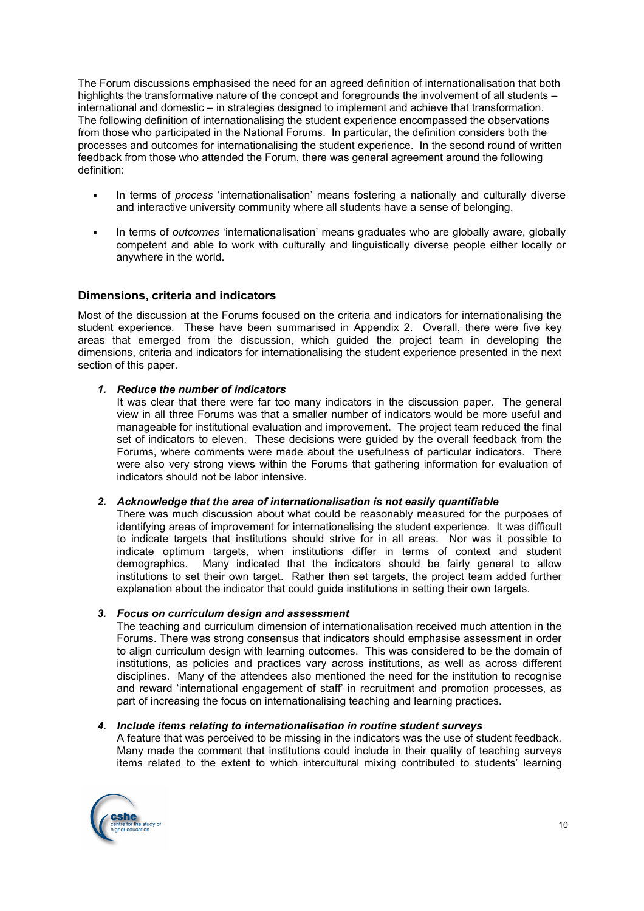The Forum discussions emphasised the need for an agreed definition of internationalisation that both highlights the transformative nature of the concept and foregrounds the involvement of all students – international and domestic – in strategies designed to implement and achieve that transformation. The following definition of internationalising the student experience encompassed the observations from those who participated in the National Forums. In particular, the definition considers both the processes and outcomes for internationalising the student experience. In the second round of written feedback from those who attended the Forum, there was general agreement around the following definition:

- In terms of *process* 'internationalisation' means fostering a nationally and culturally diverse and interactive university community where all students have a sense of belonging.
- In terms of *outcomes* 'internationalisation' means graduates who are globally aware, globally competent and able to work with culturally and linguistically diverse people either locally or anywhere in the world.

## **Dimensions, criteria and indicators**

Most of the discussion at the Forums focused on the criteria and indicators for internationalising the student experience. These have been summarised in Appendix 2. Overall, there were five key areas that emerged from the discussion, which guided the project team in developing the dimensions, criteria and indicators for internationalising the student experience presented in the next section of this paper.

#### *1. Reduce the number of indicators*

It was clear that there were far too many indicators in the discussion paper. The general view in all three Forums was that a smaller number of indicators would be more useful and manageable for institutional evaluation and improvement. The project team reduced the final set of indicators to eleven. These decisions were guided by the overall feedback from the Forums, where comments were made about the usefulness of particular indicators. There were also very strong views within the Forums that gathering information for evaluation of indicators should not be labor intensive.

#### *2. Acknowledge that the area of internationalisation is not easily quantifiable*

There was much discussion about what could be reasonably measured for the purposes of identifying areas of improvement for internationalising the student experience. It was difficult to indicate targets that institutions should strive for in all areas. Nor was it possible to indicate optimum targets, when institutions differ in terms of context and student demographics. Many indicated that the indicators should be fairly general to allow institutions to set their own target. Rather then set targets, the project team added further explanation about the indicator that could guide institutions in setting their own targets.

#### *3. Focus on curriculum design and assessment*

The teaching and curriculum dimension of internationalisation received much attention in the Forums. There was strong consensus that indicators should emphasise assessment in order to align curriculum design with learning outcomes. This was considered to be the domain of institutions, as policies and practices vary across institutions, as well as across different disciplines. Many of the attendees also mentioned the need for the institution to recognise and reward 'international engagement of staff' in recruitment and promotion processes, as part of increasing the focus on internationalising teaching and learning practices.

#### *4. Include items relating to internationalisation in routine student surveys*

A feature that was perceived to be missing in the indicators was the use of student feedback. Many made the comment that institutions could include in their quality of teaching surveys items related to the extent to which intercultural mixing contributed to students' learning

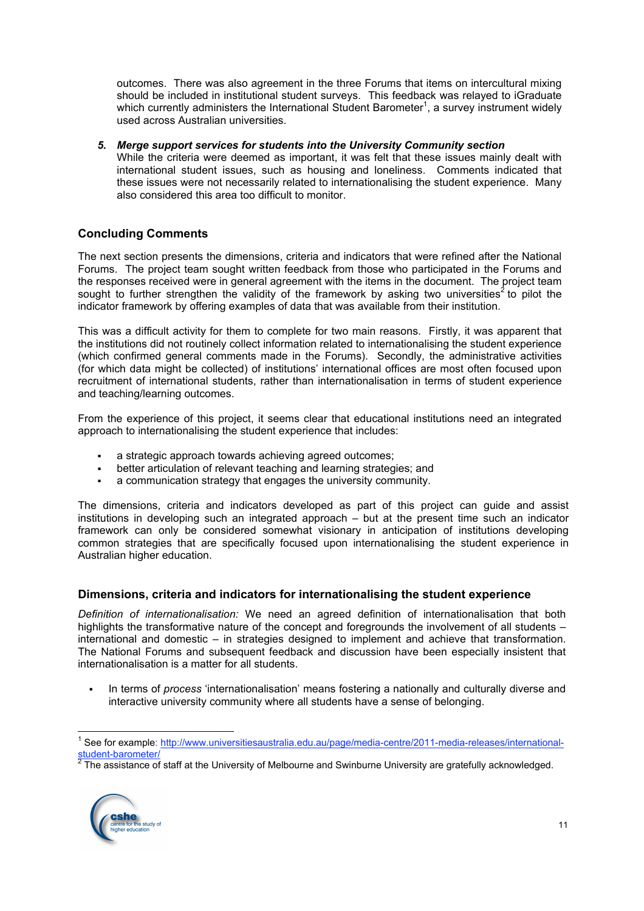outcomes. There was also agreement in the three Forums that items on intercultural mixing should be included in institutional student surveys. This feedback was relayed to iGraduate which currently administers the International Student Barometer<sup>1</sup>, a survey instrument widely used across Australian universities.

#### *5. Merge support services for students into the University Community section*

While the criteria were deemed as important, it was felt that these issues mainly dealt with international student issues, such as housing and loneliness. Comments indicated that these issues were not necessarily related to internationalising the student experience. Many also considered this area too difficult to monitor.

# **Concluding Comments**

The next section presents the dimensions, criteria and indicators that were refined after the National Forums. The project team sought written feedback from those who participated in the Forums and the responses received were in general agreement with the items in the document. The project team sought to further strengthen the validity of the framework by asking two universities<sup>2</sup> to pilot the indicator framework by offering examples of data that was available from their institution.

This was a difficult activity for them to complete for two main reasons. Firstly, it was apparent that the institutions did not routinely collect information related to internationalising the student experience (which confirmed general comments made in the Forums). Secondly, the administrative activities (for which data might be collected) of institutions' international offices are most often focused upon recruitment of international students, rather than internationalisation in terms of student experience and teaching/learning outcomes.

From the experience of this project, it seems clear that educational institutions need an integrated approach to internationalising the student experience that includes:

- a strategic approach towards achieving agreed outcomes;
- better articulation of relevant teaching and learning strategies; and
- a communication strategy that engages the university community.

The dimensions, criteria and indicators developed as part of this project can guide and assist institutions in developing such an integrated approach – but at the present time such an indicator framework can only be considered somewhat visionary in anticipation of institutions developing common strategies that are specifically focused upon internationalising the student experience in Australian higher education.

## **Dimensions, criteria and indicators for internationalising the student experience**

*Definition of internationalisation:* We need an agreed definition of internationalisation that both highlights the transformative nature of the concept and foregrounds the involvement of all students – international and domestic – in strategies designed to implement and achieve that transformation. The National Forums and subsequent feedback and discussion have been especially insistent that internationalisation is a matter for all students.

 In terms of *process* 'internationalisation' means fostering a nationally and culturally diverse and interactive university community where all students have a sense of belonging.

The assistance of staff at the University of Melbourne and Swinburne University are gratefully acknowledged.



<sup>&</sup>lt;sup>1</sup> See for example: http://www.universitiesaustralia.edu.au/page/media-centre/2011-media-releases/international-<br>student-barometer/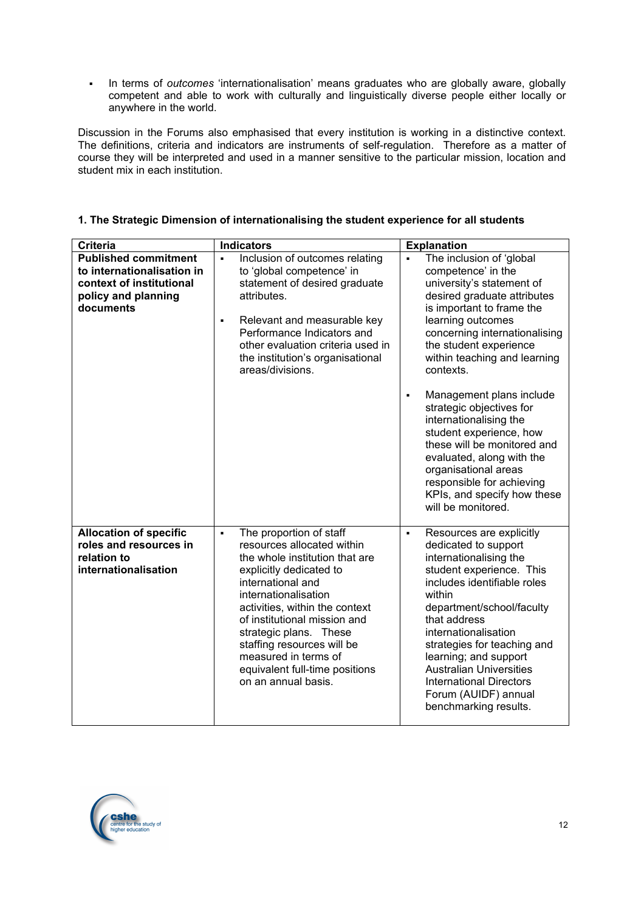In terms of *outcomes* 'internationalisation' means graduates who are globally aware, globally competent and able to work with culturally and linguistically diverse people either locally or anywhere in the world.

Discussion in the Forums also emphasised that every institution is working in a distinctive context. The definitions, criteria and indicators are instruments of self-regulation. Therefore as a matter of course they will be interpreted and used in a manner sensitive to the particular mission, location and student mix in each institution.

| <b>Criteria</b>                                                                                                           | <b>Indicators</b>                                                                                                                                                                                                                                                                                                                                                                            | <b>Explanation</b>                                                                                                                                                                                                                                                                                                                                                                                                                                                                                                                                                                          |
|---------------------------------------------------------------------------------------------------------------------------|----------------------------------------------------------------------------------------------------------------------------------------------------------------------------------------------------------------------------------------------------------------------------------------------------------------------------------------------------------------------------------------------|---------------------------------------------------------------------------------------------------------------------------------------------------------------------------------------------------------------------------------------------------------------------------------------------------------------------------------------------------------------------------------------------------------------------------------------------------------------------------------------------------------------------------------------------------------------------------------------------|
| <b>Published commitment</b><br>to internationalisation in<br>context of institutional<br>policy and planning<br>documents | Inclusion of outcomes relating<br>$\blacksquare$<br>to 'global competence' in<br>statement of desired graduate<br>attributes.<br>Relevant and measurable key<br>$\blacksquare$<br>Performance Indicators and<br>other evaluation criteria used in<br>the institution's organisational<br>areas/divisions.                                                                                    | The inclusion of 'global<br>$\blacksquare$<br>competence' in the<br>university's statement of<br>desired graduate attributes<br>is important to frame the<br>learning outcomes<br>concerning internationalising<br>the student experience<br>within teaching and learning<br>contexts.<br>Management plans include<br>$\blacksquare$<br>strategic objectives for<br>internationalising the<br>student experience, how<br>these will be monitored and<br>evaluated, along with the<br>organisational areas<br>responsible for achieving<br>KPIs, and specify how these<br>will be monitored. |
| <b>Allocation of specific</b><br>roles and resources in<br>relation to<br>internationalisation                            | The proportion of staff<br>$\blacksquare$<br>resources allocated within<br>the whole institution that are<br>explicitly dedicated to<br>international and<br>internationalisation<br>activities, within the context<br>of institutional mission and<br>strategic plans. These<br>staffing resources will be<br>measured in terms of<br>equivalent full-time positions<br>on an annual basis. | Resources are explicitly<br>$\blacksquare$<br>dedicated to support<br>internationalising the<br>student experience. This<br>includes identifiable roles<br>within<br>department/school/faculty<br>that address<br>internationalisation<br>strategies for teaching and<br>learning; and support<br><b>Australian Universities</b><br><b>International Directors</b><br>Forum (AUIDF) annual<br>benchmarking results.                                                                                                                                                                         |

# **1. The Strategic Dimension of internationalising the student experience for all students**

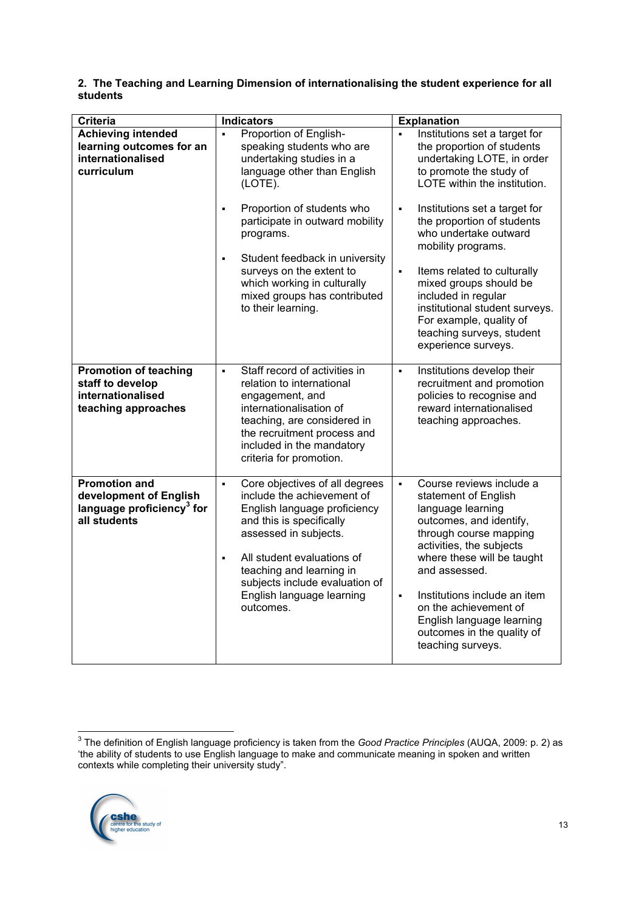# **2. The Teaching and Learning Dimension of internationalising the student experience for all students**

| <b>Criteria</b>                                                                                         | <b>Indicators</b>                                                                                                                                                                                                                                                                                                           | <b>Explanation</b>                                                                                                                                                                                                                                                                                                                                                                 |
|---------------------------------------------------------------------------------------------------------|-----------------------------------------------------------------------------------------------------------------------------------------------------------------------------------------------------------------------------------------------------------------------------------------------------------------------------|------------------------------------------------------------------------------------------------------------------------------------------------------------------------------------------------------------------------------------------------------------------------------------------------------------------------------------------------------------------------------------|
| <b>Achieving intended</b><br>learning outcomes for an<br>internationalised<br>curriculum                | Proportion of English-<br>speaking students who are<br>undertaking studies in a<br>language other than English<br>(LOTE).<br>Proportion of students who<br>$\blacksquare$<br>participate in outward mobility<br>programs.<br>Student feedback in university<br>$\blacksquare$                                               | Institutions set a target for<br>the proportion of students<br>undertaking LOTE, in order<br>to promote the study of<br>LOTE within the institution.<br>Institutions set a target for<br>٠<br>the proportion of students<br>who undertake outward<br>mobility programs.                                                                                                            |
|                                                                                                         | surveys on the extent to<br>which working in culturally<br>mixed groups has contributed<br>to their learning.                                                                                                                                                                                                               | $\blacksquare$<br>Items related to culturally<br>mixed groups should be<br>included in regular<br>institutional student surveys.<br>For example, quality of<br>teaching surveys, student<br>experience surveys.                                                                                                                                                                    |
| <b>Promotion of teaching</b><br>staff to develop<br>internationalised<br>teaching approaches            | Staff record of activities in<br>$\blacksquare$<br>relation to international<br>engagement, and<br>internationalisation of<br>teaching, are considered in<br>the recruitment process and<br>included in the mandatory<br>criteria for promotion.                                                                            | Institutions develop their<br>$\blacksquare$<br>recruitment and promotion<br>policies to recognise and<br>reward internationalised<br>teaching approaches.                                                                                                                                                                                                                         |
| <b>Promotion and</b><br>development of English<br>language proficiency <sup>3</sup> for<br>all students | Core objectives of all degrees<br>$\blacksquare$<br>include the achievement of<br>English language proficiency<br>and this is specifically<br>assessed in subjects.<br>All student evaluations of<br>$\blacksquare$<br>teaching and learning in<br>subjects include evaluation of<br>English language learning<br>outcomes. | Course reviews include a<br>$\blacksquare$<br>statement of English<br>language learning<br>outcomes, and identify,<br>through course mapping<br>activities, the subjects<br>where these will be taught<br>and assessed.<br>Institutions include an item<br>$\blacksquare$<br>on the achievement of<br>English language learning<br>outcomes in the quality of<br>teaching surveys. |

 <sup>3</sup> The definition of English language proficiency is taken from the *Good Practice Principles* (AUQA, 2009: p. 2) as 'the ability of students to use English language to make and communicate meaning in spoken and written contexts while completing their university study".

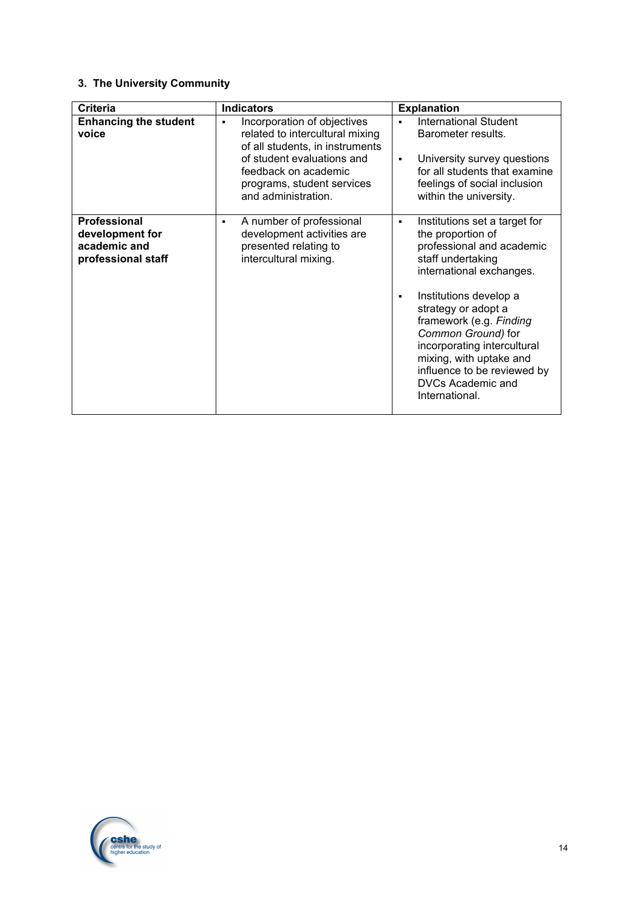# **3. The University Community**

| <b>Criteria</b>                                                              | <b>Indicators</b>                                                                                                                                                                                                 | <b>Explanation</b>                                                                                                                                                                                                                                                                                                                                                                  |
|------------------------------------------------------------------------------|-------------------------------------------------------------------------------------------------------------------------------------------------------------------------------------------------------------------|-------------------------------------------------------------------------------------------------------------------------------------------------------------------------------------------------------------------------------------------------------------------------------------------------------------------------------------------------------------------------------------|
| <b>Enhancing the student</b><br>voice                                        | Incorporation of objectives<br>٠<br>related to intercultural mixing<br>of all students, in instruments<br>of student evaluations and<br>feedback on academic<br>programs, student services<br>and administration. | <b>International Student</b><br>٠<br>Barometer results.<br>University survey questions<br>٠<br>for all students that examine<br>feelings of social inclusion<br>within the university.                                                                                                                                                                                              |
| <b>Professional</b><br>development for<br>academic and<br>professional staff | A number of professional<br>٠<br>development activities are<br>presented relating to<br>intercultural mixing.                                                                                                     | Institutions set a target for<br>٠<br>the proportion of<br>professional and academic<br>staff undertaking<br>international exchanges.<br>Institutions develop a<br>٠<br>strategy or adopt a<br>framework (e.g. Finding<br>Common Ground) for<br>incorporating intercultural<br>mixing, with uptake and<br>influence to be reviewed by<br><b>DVCs Academic and</b><br>International. |

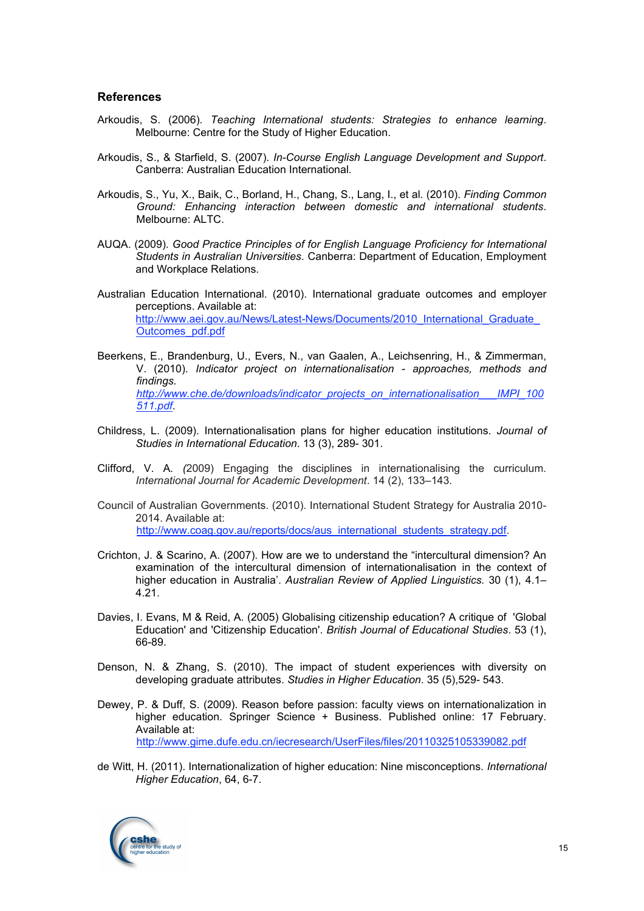#### **References**

- Arkoudis, S. (2006). *Teaching International students: Strategies to enhance learning*. Melbourne: Centre for the Study of Higher Education.
- Arkoudis, S., & Starfield, S. (2007). *In-Course English Language Development and Support*. Canberra: Australian Education International.
- Arkoudis, S., Yu, X., Baik, C., Borland, H., Chang, S., Lang, I., et al. (2010). *Finding Common Ground: Enhancing interaction between domestic and international students*. Melbourne: ALTC.
- AUQA. (2009). *Good Practice Principles of for English Language Proficiency for International Students in Australian Universities*. Canberra: Department of Education, Employment and Workplace Relations.
- Australian Education International. (2010). International graduate outcomes and employer perceptions. Available at: http://www.aei.gov.au/News/Latest-News/Documents/2010\_International\_Graduate Outcomes\_pdf.pdf
- Beerkens, E., Brandenburg, U., Evers, N., van Gaalen, A., Leichsenring, H., & Zimmerman, V. (2010). *Indicator project on internationalisation - approaches, methods and findings. http://www.che.de/downloads/indicator\_projects\_on\_internationalisation\_\_\_IMPI\_100 511.pdf*.
- Childress, L. (2009). Internationalisation plans for higher education institutions. *Journal of Studies in International Education*. 13 (3), 289- 301.
- Clifford, V. A*. (*2009) Engaging the disciplines in internationalising the curriculum*. International Journal for Academic Development*. 14 (2), 133–143.
- Council of Australian Governments. (2010). International Student Strategy for Australia 2010- 2014. Available at: http://www.coag.gov.au/reports/docs/aus\_international\_students\_strategy.pdf.
- Crichton, J. & Scarino, A. (2007). How are we to understand the "intercultural dimension? An examination of the intercultural dimension of internationalisation in the context of higher education in Australia'. *Australian Review of Applied Linguistics.* 30 (1), 4.1–  $4.21.$
- Davies, I. Evans, M & Reid, A. (2005) Globalising citizenship education? A critique of 'Global Education' and 'Citizenship Education'. *British Journal of Educational Studies*. 53 (1), 66-89.
- Denson, N. & Zhang, S. (2010). The impact of student experiences with diversity on developing graduate attributes. *Studies in Higher Education*. 35 (5),529- 543.
- Dewey, P. & Duff, S. (2009). Reason before passion: faculty views on internationalization in higher education. Springer Science + Business. Published online: 17 February. Available at: http://www.gime.dufe.edu.cn/iecresearch/UserFiles/files/20110325105339082.pdf
- de Witt, H. (2011). Internationalization of higher education: Nine misconceptions. *International Higher Education*, 64, 6-7.

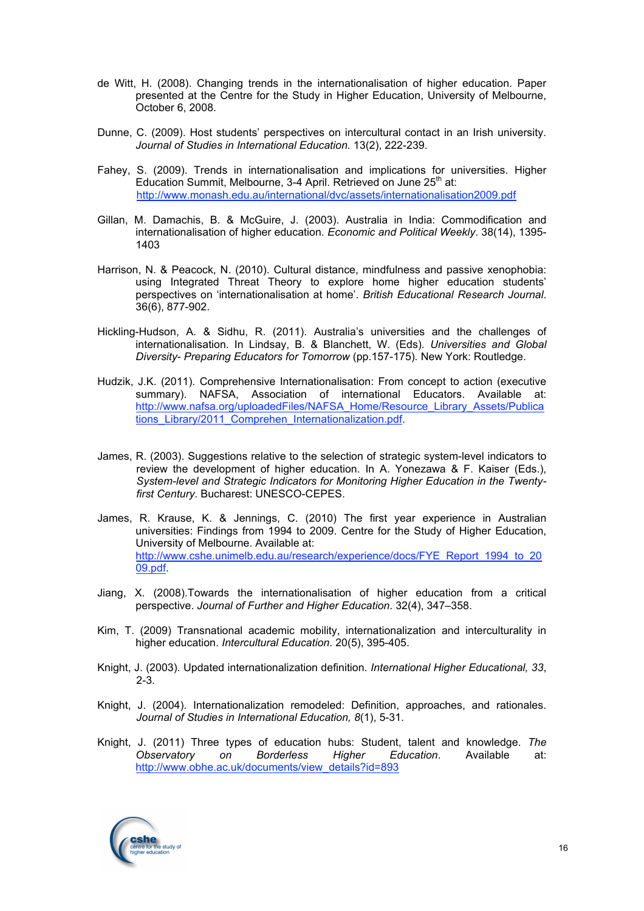- de Witt, H. (2008). Changing trends in the internationalisation of higher education. Paper presented at the Centre for the Study in Higher Education, University of Melbourne, October 6, 2008.
- Dunne, C. (2009). Host students' perspectives on intercultural contact in an Irish university. *Journal of Studies in International Education.* 13(2), 222-239.
- Fahey, S. (2009). Trends in internationalisation and implications for universities. Higher Education Summit, Melbourne, 3-4 April. Retrieved on June  $25<sup>th</sup>$  at: http://www.monash.edu.au/international/dvc/assets/internationalisation2009.pdf
- Gillan, M. Damachis, B. & McGuire, J. (2003). Australia in India: Commodification and internationalisation of higher education. *Economic and Political Weekly*. 38(14), 1395- 1403
- Harrison, N. & Peacock, N. (2010). Cultural distance, mindfulness and passive xenophobia: using Integrated Threat Theory to explore home higher education students' perspectives on 'internationalisation at home'. *British Educational Research Journal*. 36(6), 877-902.
- Hickling-Hudson, A. & Sidhu, R. (2011). Australia's universities and the challenges of internationalisation. In Lindsay, B. & Blanchett, W. (Eds)*. Universities and Global Diversity*- *Preparing Educators for Tomorrow* (pp.157-175)*.* New York: Routledge.
- Hudzik, J.K. (2011). Comprehensive Internationalisation: From concept to action (executive summary). NAFSA, Association of international Educators. Available at: http://www.nafsa.org/uploadedFiles/NAFSA\_Home/Resource\_Library\_Assets/Publica tions\_Library/2011\_Comprehen\_Internationalization.pdf.
- James, R. (2003). Suggestions relative to the selection of strategic system-level indicators to review the development of higher education. In A. Yonezawa & F. Kaiser (Eds.), *System-level and Strategic Indicators for Monitoring Higher Education in the Twentyfirst Century*. Bucharest: UNESCO-CEPES.
- James, R. Krause, K. & Jennings, C. (2010) The first year experience in Australian universities: Findings from 1994 to 2009. Centre for the Study of Higher Education, University of Melbourne. Available at: http://www.cshe.unimelb.edu.au/research/experience/docs/FYE\_Report\_1994\_to\_20 09.pdf.
- Jiang, X. (2008).Towards the internationalisation of higher education from a critical perspective. *Journal of Further and Higher Education*. 32(4), 347–358.
- Kim, T. (2009) Transnational academic mobility, internationalization and interculturality in higher education. *Intercultural Education*. 20(5), 395-405.
- Knight, J. (2003). Updated internationalization definition. *International Higher Educational, 33*,  $2 - 3$ .
- Knight, J. (2004). Internationalization remodeled: Definition, approaches, and rationales. *Journal of Studies in International Education, 8*(1), 5-31.
- Knight, J. (2011) Three types of education hubs: Student, talent and knowledge. *The Observatory on Borderless Higher Education*. Available at: http://www.obhe.ac.uk/documents/view\_details?id=893

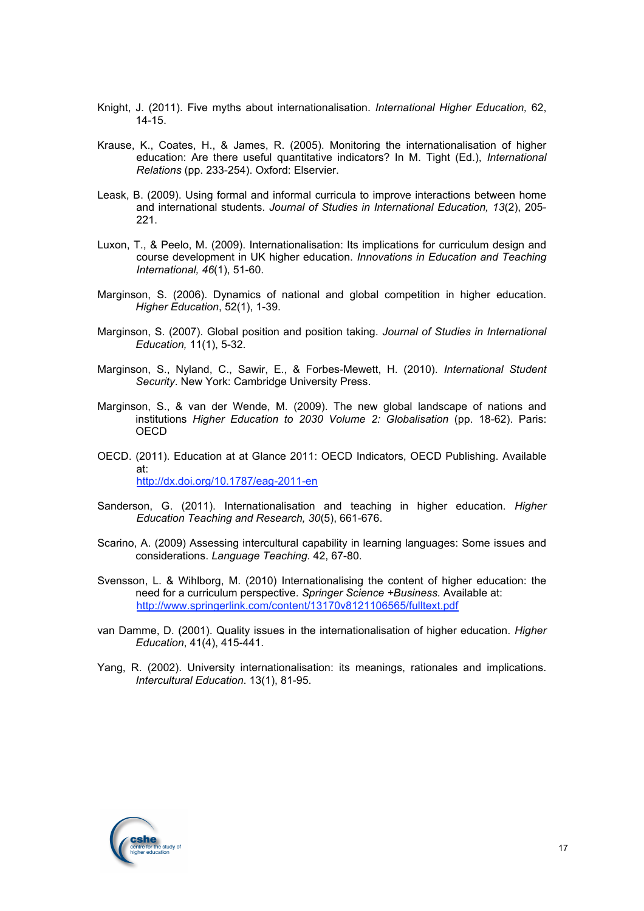- Knight, J. (2011). Five myths about internationalisation. *International Higher Education,* 62, 14-15.
- Krause, K., Coates, H., & James, R. (2005). Monitoring the internationalisation of higher education: Are there useful quantitative indicators? In M. Tight (Ed.), *International Relations* (pp. 233-254). Oxford: Elservier.
- Leask, B. (2009). Using formal and informal curricula to improve interactions between home and international students. *Journal of Studies in International Education, 13*(2), 205- 221.
- Luxon, T., & Peelo, M. (2009). Internationalisation: Its implications for curriculum design and course development in UK higher education. *Innovations in Education and Teaching International, 46*(1), 51-60.
- Marginson, S. (2006). Dynamics of national and global competition in higher education. *Higher Education*, 52(1), 1-39.
- Marginson, S. (2007). Global position and position taking. *Journal of Studies in International Education,* 11(1), 5-32.
- Marginson, S., Nyland, C., Sawir, E., & Forbes-Mewett, H. (2010). *International Student Security*. New York: Cambridge University Press.
- Marginson, S., & van der Wende, M. (2009). The new global landscape of nations and institutions *Higher Education to 2030 Volume 2: Globalisation* (pp. 18-62). Paris: **OECD**
- OECD. (2011). Education at at Glance 2011: OECD Indicators, OECD Publishing. Available at: http://dx.doi.org/10.1787/eag-2011-en
- Sanderson, G. (2011). Internationalisation and teaching in higher education. *Higher Education Teaching and Research, 30*(5), 661-676.
- Scarino, A. (2009) Assessing intercultural capability in learning languages: Some issues and considerations. *Language Teaching.* 42, 67-80.
- Svensson, L. & Wihlborg, M. (2010) Internationalising the content of higher education: the need for a curriculum perspective. *Springer Science +Business.* Available at: http://www.springerlink.com/content/13170v8121106565/fulltext.pdf
- van Damme, D. (2001). Quality issues in the internationalisation of higher education. *Higher Education*, 41(4), 415-441.
- Yang, R. (2002). University internationalisation: its meanings, rationales and implications. *Intercultural Education*. 13(1), 81-95.

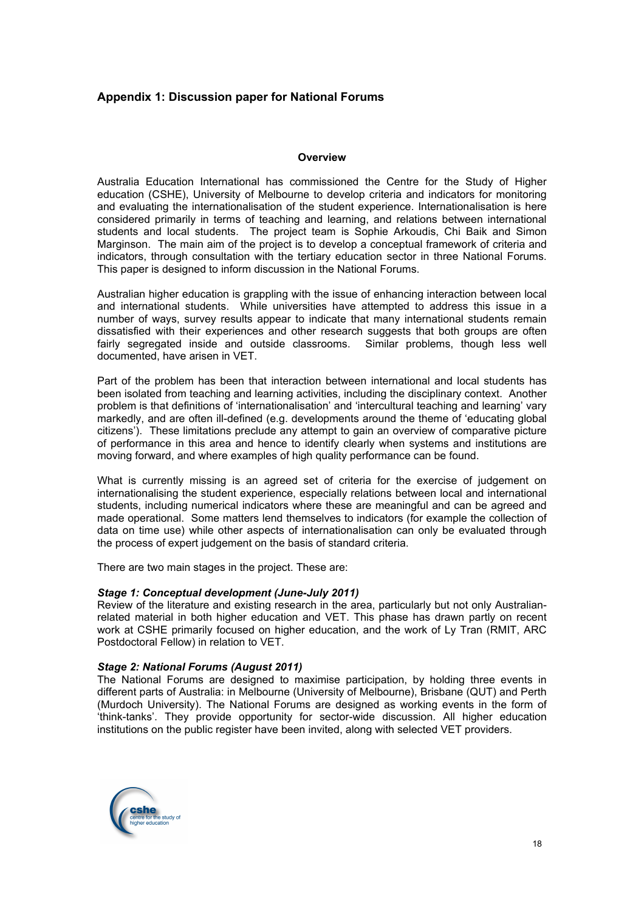# **Appendix 1: Discussion paper for National Forums**

#### **Overview**

Australia Education International has commissioned the Centre for the Study of Higher education (CSHE), University of Melbourne to develop criteria and indicators for monitoring and evaluating the internationalisation of the student experience. Internationalisation is here considered primarily in terms of teaching and learning, and relations between international students and local students. The project team is Sophie Arkoudis, Chi Baik and Simon Marginson. The main aim of the project is to develop a conceptual framework of criteria and indicators, through consultation with the tertiary education sector in three National Forums. This paper is designed to inform discussion in the National Forums.

Australian higher education is grappling with the issue of enhancing interaction between local and international students. While universities have attempted to address this issue in a number of ways, survey results appear to indicate that many international students remain dissatisfied with their experiences and other research suggests that both groups are often fairly segregated inside and outside classrooms. Similar problems, though less well documented, have arisen in VET.

Part of the problem has been that interaction between international and local students has been isolated from teaching and learning activities, including the disciplinary context. Another problem is that definitions of 'internationalisation' and 'intercultural teaching and learning' vary markedly, and are often ill-defined (e.g. developments around the theme of 'educating global citizens'). These limitations preclude any attempt to gain an overview of comparative picture of performance in this area and hence to identify clearly when systems and institutions are moving forward, and where examples of high quality performance can be found.

What is currently missing is an agreed set of criteria for the exercise of judgement on internationalising the student experience, especially relations between local and international students, including numerical indicators where these are meaningful and can be agreed and made operational. Some matters lend themselves to indicators (for example the collection of data on time use) while other aspects of internationalisation can only be evaluated through the process of expert judgement on the basis of standard criteria.

There are two main stages in the project. These are:

#### *Stage 1: Conceptual development (June-July 2011)*

Review of the literature and existing research in the area, particularly but not only Australianrelated material in both higher education and VET. This phase has drawn partly on recent work at CSHE primarily focused on higher education, and the work of Ly Tran (RMIT, ARC Postdoctoral Fellow) in relation to VET.

#### *Stage 2: National Forums (August 2011)*

The National Forums are designed to maximise participation, by holding three events in different parts of Australia: in Melbourne (University of Melbourne), Brisbane (QUT) and Perth (Murdoch University). The National Forums are designed as working events in the form of 'think-tanks'. They provide opportunity for sector-wide discussion. All higher education institutions on the public register have been invited, along with selected VET providers.

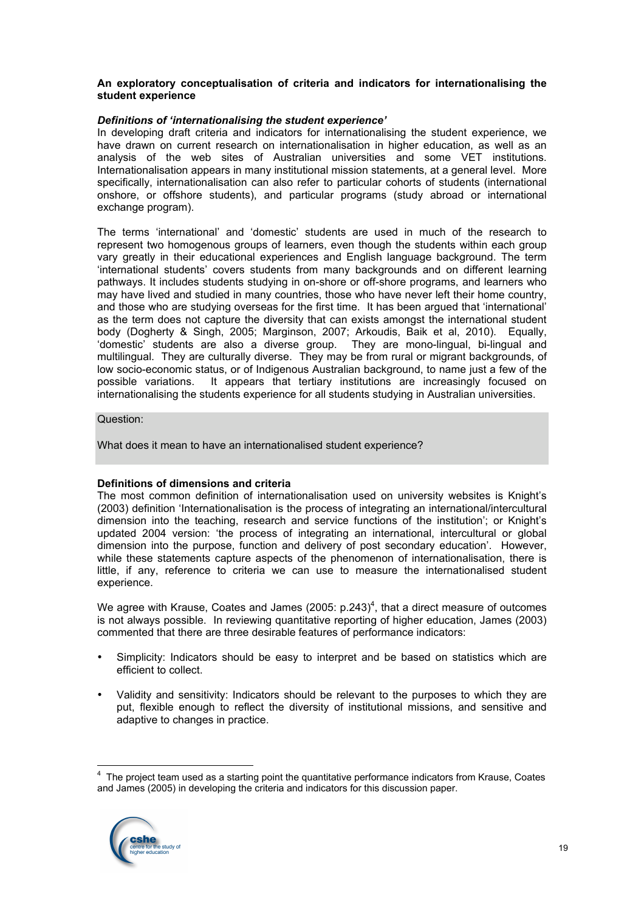#### **An exploratory conceptualisation of criteria and indicators for internationalising the student experience**

#### *Definitions of 'internationalising the student experience'*

In developing draft criteria and indicators for internationalising the student experience, we have drawn on current research on internationalisation in higher education, as well as an analysis of the web sites of Australian universities and some VET institutions. Internationalisation appears in many institutional mission statements, at a general level. More specifically, internationalisation can also refer to particular cohorts of students (international onshore, or offshore students), and particular programs (study abroad or international exchange program).

The terms 'international' and 'domestic' students are used in much of the research to represent two homogenous groups of learners, even though the students within each group vary greatly in their educational experiences and English language background. The term 'international students' covers students from many backgrounds and on different learning pathways. It includes students studying in on-shore or off-shore programs, and learners who may have lived and studied in many countries, those who have never left their home country, and those who are studying overseas for the first time. It has been argued that 'international' as the term does not capture the diversity that can exists amongst the international student body (Dogherty & Singh, 2005; Marginson, 2007; Arkoudis, Baik et al, 2010). Equally, 'domestic' students are also a diverse group. They are mono-lingual, bi-lingual and multilingual. They are culturally diverse. They may be from rural or migrant backgrounds, of low socio-economic status, or of Indigenous Australian background, to name just a few of the possible variations. It appears that tertiary institutions are increasingly focused on internationalising the students experience for all students studying in Australian universities.

#### Question:

What does it mean to have an internationalised student experience?

## **Definitions of dimensions and criteria**

The most common definition of internationalisation used on university websites is Knight's (2003) definition 'Internationalisation is the process of integrating an international/intercultural dimension into the teaching, research and service functions of the institution'; or Knight's updated 2004 version: 'the process of integrating an international, intercultural or global dimension into the purpose, function and delivery of post secondary education'. However, while these statements capture aspects of the phenomenon of internationalisation, there is little, if any, reference to criteria we can use to measure the internationalised student experience.

We agree with Krause, Coates and James (2005: p.243)<sup>4</sup>, that a direct measure of outcomes is not always possible. In reviewing quantitative reporting of higher education, James (2003) commented that there are three desirable features of performance indicators:

- Simplicity: Indicators should be easy to interpret and be based on statistics which are efficient to collect.
- Validity and sensitivity: Indicators should be relevant to the purposes to which they are put, flexible enough to reflect the diversity of institutional missions, and sensitive and adaptive to changes in practice.

 <sup>4</sup> The project team used as a starting point the quantitative performance indicators from Krause, Coates and James (2005) in developing the criteria and indicators for this discussion paper.

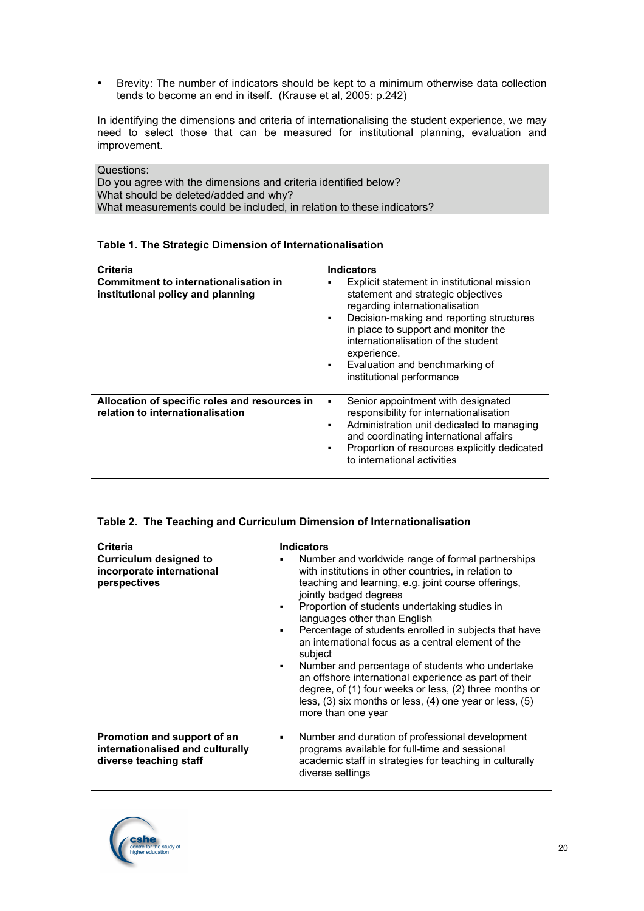• Brevity: The number of indicators should be kept to a minimum otherwise data collection tends to become an end in itself. (Krause et al, 2005: p.242)

In identifying the dimensions and criteria of internationalising the student experience, we may need to select those that can be measured for institutional planning, evaluation and improvement.

Questions: Do you agree with the dimensions and criteria identified below? What should be deleted/added and why? What measurements could be included, in relation to these indicators?

| Table 1. The Strategic Dimension of Internationalisation |
|----------------------------------------------------------|
|----------------------------------------------------------|

| Criteria                                                                          | <b>Indicators</b>                                                                                                                                                                                                                                                                                                                                               |
|-----------------------------------------------------------------------------------|-----------------------------------------------------------------------------------------------------------------------------------------------------------------------------------------------------------------------------------------------------------------------------------------------------------------------------------------------------------------|
| Commitment to internationalisation in<br>institutional policy and planning        | Explicit statement in institutional mission<br>statement and strategic objectives<br>regarding internationalisation<br>Decision-making and reporting structures<br>$\blacksquare$<br>in place to support and monitor the<br>internationalisation of the student<br>experience.<br>Evaluation and benchmarking of<br>$\blacksquare$<br>institutional performance |
| Allocation of specific roles and resources in<br>relation to internationalisation | Senior appointment with designated<br>responsibility for internationalisation<br>Administration unit dedicated to managing<br>٠<br>and coordinating international affairs<br>Proportion of resources explicitly dedicated<br>to international activities                                                                                                        |

#### **Table 2. The Teaching and Curriculum Dimension of Internationalisation**

| <b>Criteria</b>                                                                           | <b>Indicators</b>                                                                                                                                                                                                                                                                                                                                                                                                                                                                                                                                                                                                                                                                   |
|-------------------------------------------------------------------------------------------|-------------------------------------------------------------------------------------------------------------------------------------------------------------------------------------------------------------------------------------------------------------------------------------------------------------------------------------------------------------------------------------------------------------------------------------------------------------------------------------------------------------------------------------------------------------------------------------------------------------------------------------------------------------------------------------|
| <b>Curriculum designed to</b><br>incorporate international<br>perspectives                | Number and worldwide range of formal partnerships<br>٠<br>with institutions in other countries, in relation to<br>teaching and learning, e.g. joint course offerings,<br>jointly badged degrees<br>Proportion of students undertaking studies in<br>languages other than English<br>Percentage of students enrolled in subjects that have<br>an international focus as a central element of the<br>subject<br>Number and percentage of students who undertake<br>$\blacksquare$<br>an offshore international experience as part of their<br>degree, of (1) four weeks or less, (2) three months or<br>less, (3) six months or less, (4) one year or less, (5)<br>more than one year |
| Promotion and support of an<br>internationalised and culturally<br>diverse teaching staff | Number and duration of professional development<br>programs available for full-time and sessional<br>academic staff in strategies for teaching in culturally<br>diverse settings                                                                                                                                                                                                                                                                                                                                                                                                                                                                                                    |

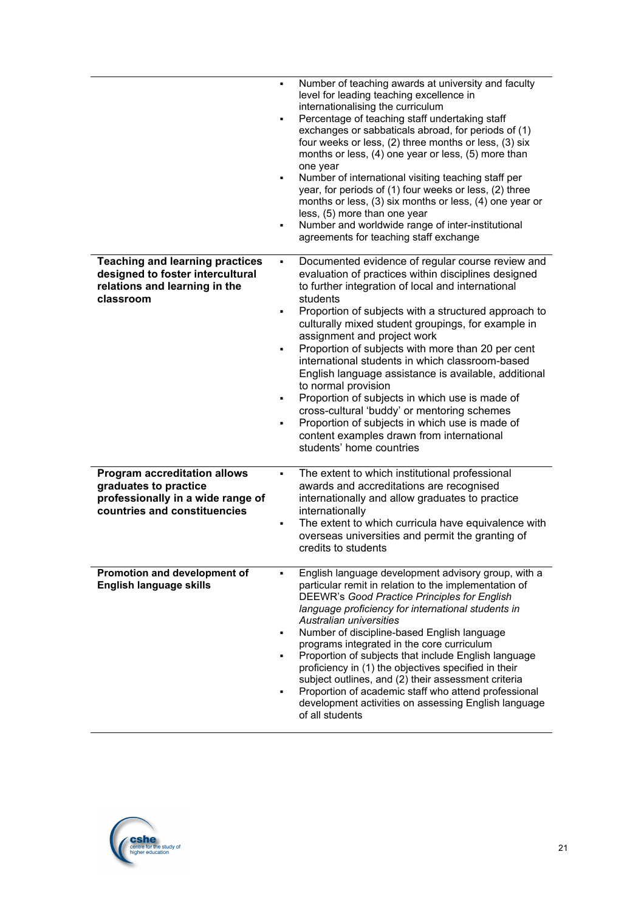|                                                                                                                                   | Number of teaching awards at university and faculty<br>level for leading teaching excellence in<br>internationalising the curriculum<br>Percentage of teaching staff undertaking staff<br>٠<br>exchanges or sabbaticals abroad, for periods of (1)<br>four weeks or less, (2) three months or less, (3) six<br>months or less, (4) one year or less, (5) more than<br>one year<br>Number of international visiting teaching staff per<br>٠<br>year, for periods of (1) four weeks or less, (2) three<br>months or less, (3) six months or less, (4) one year or<br>less, (5) more than one year<br>Number and worldwide range of inter-institutional<br>٠<br>agreements for teaching staff exchange                                                               |
|-----------------------------------------------------------------------------------------------------------------------------------|-------------------------------------------------------------------------------------------------------------------------------------------------------------------------------------------------------------------------------------------------------------------------------------------------------------------------------------------------------------------------------------------------------------------------------------------------------------------------------------------------------------------------------------------------------------------------------------------------------------------------------------------------------------------------------------------------------------------------------------------------------------------|
| <b>Teaching and learning practices</b><br>designed to foster intercultural<br>relations and learning in the<br>classroom          | Documented evidence of regular course review and<br>٠<br>evaluation of practices within disciplines designed<br>to further integration of local and international<br>students<br>Proportion of subjects with a structured approach to<br>٠<br>culturally mixed student groupings, for example in<br>assignment and project work<br>Proportion of subjects with more than 20 per cent<br>٠<br>international students in which classroom-based<br>English language assistance is available, additional<br>to normal provision<br>Proportion of subjects in which use is made of<br>٠<br>cross-cultural 'buddy' or mentoring schemes<br>Proportion of subjects in which use is made of<br>٠<br>content examples drawn from international<br>students' home countries |
| <b>Program accreditation allows</b><br>graduates to practice<br>professionally in a wide range of<br>countries and constituencies | The extent to which institutional professional<br>٠<br>awards and accreditations are recognised<br>internationally and allow graduates to practice<br>internationally<br>The extent to which curricula have equivalence with<br>٠<br>overseas universities and permit the granting of<br>credits to students                                                                                                                                                                                                                                                                                                                                                                                                                                                      |
| Promotion and development of<br>English language skills                                                                           | English language development advisory group, with a<br>particular remit in relation to the implementation of<br>DEEWR's Good Practice Principles for English<br>language proficiency for international students in<br>Australian universities<br>Number of discipline-based English language<br>٠<br>programs integrated in the core curriculum<br>Proportion of subjects that include English language<br>٠<br>proficiency in (1) the objectives specified in their<br>subject outlines, and (2) their assessment criteria<br>Proportion of academic staff who attend professional<br>٠<br>development activities on assessing English language<br>of all students                                                                                               |

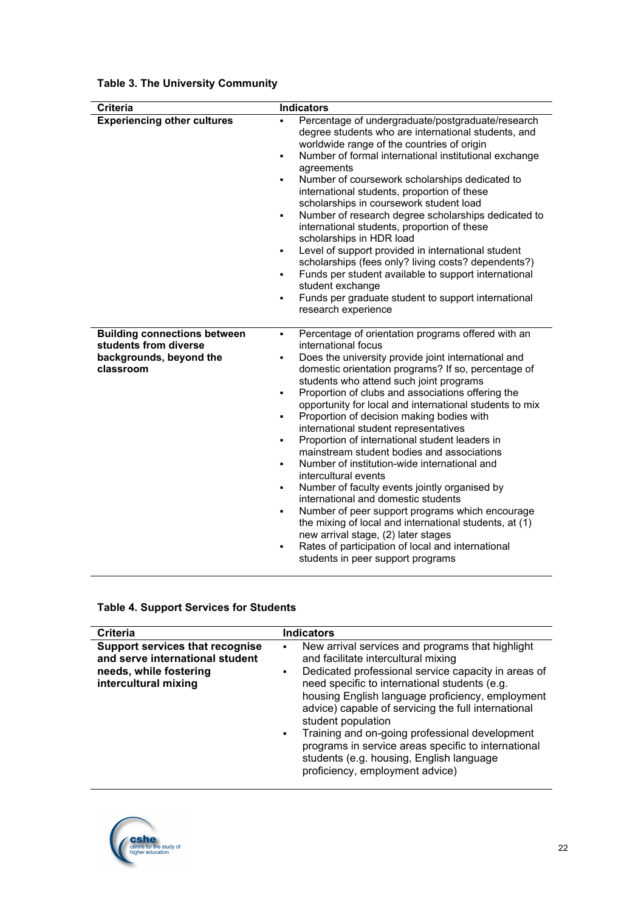| <b>Criteria</b>                                                                                      | <b>Indicators</b>                                                                                                                                                                                                                                                                                                                                                                                                                                                                                                                                                                                                                                                                                                                                                                                                                                                                                                                                                                                                                                       |
|------------------------------------------------------------------------------------------------------|---------------------------------------------------------------------------------------------------------------------------------------------------------------------------------------------------------------------------------------------------------------------------------------------------------------------------------------------------------------------------------------------------------------------------------------------------------------------------------------------------------------------------------------------------------------------------------------------------------------------------------------------------------------------------------------------------------------------------------------------------------------------------------------------------------------------------------------------------------------------------------------------------------------------------------------------------------------------------------------------------------------------------------------------------------|
| <b>Experiencing other cultures</b>                                                                   | Percentage of undergraduate/postgraduate/research<br>degree students who are international students, and<br>worldwide range of the countries of origin<br>Number of formal international institutional exchange<br>$\blacksquare$<br>agreements<br>Number of coursework scholarships dedicated to<br>٠<br>international students, proportion of these<br>scholarships in coursework student load<br>Number of research degree scholarships dedicated to<br>٠<br>international students, proportion of these<br>scholarships in HDR load<br>Level of support provided in international student<br>٠<br>scholarships (fees only? living costs? dependents?)<br>Funds per student available to support international<br>$\blacksquare$<br>student exchange<br>Funds per graduate student to support international<br>$\blacksquare$<br>research experience                                                                                                                                                                                                 |
| <b>Building connections between</b><br>students from diverse<br>backgrounds, beyond the<br>classroom | Percentage of orientation programs offered with an<br>$\blacksquare$<br>international focus<br>Does the university provide joint international and<br>٠<br>domestic orientation programs? If so, percentage of<br>students who attend such joint programs<br>Proportion of clubs and associations offering the<br>٠<br>opportunity for local and international students to mix<br>Proportion of decision making bodies with<br>$\blacksquare$<br>international student representatives<br>Proportion of international student leaders in<br>٠<br>mainstream student bodies and associations<br>Number of institution-wide international and<br>$\blacksquare$<br>intercultural events<br>Number of faculty events jointly organised by<br>٠<br>international and domestic students<br>Number of peer support programs which encourage<br>٠<br>the mixing of local and international students, at (1)<br>new arrival stage, (2) later stages<br>Rates of participation of local and international<br>$\blacksquare$<br>students in peer support programs |

# **Table 3. The University Community**

# **Table 4. Support Services for Students**

| <b>Criteria</b>                                                                                                             | <b>Indicators</b>                                                                                                                                                                                                                                                                                                                                                                                                                                                                                                                                                              |
|-----------------------------------------------------------------------------------------------------------------------------|--------------------------------------------------------------------------------------------------------------------------------------------------------------------------------------------------------------------------------------------------------------------------------------------------------------------------------------------------------------------------------------------------------------------------------------------------------------------------------------------------------------------------------------------------------------------------------|
| <b>Support services that recognise</b><br>and serve international student<br>needs, while fostering<br>intercultural mixing | New arrival services and programs that highlight<br>$\blacksquare$<br>and facilitate intercultural mixing<br>Dedicated professional service capacity in areas of<br>$\blacksquare$<br>need specific to international students (e.g.<br>housing English language proficiency, employment<br>advice) capable of servicing the full international<br>student population<br>Training and on-going professional development<br>$\blacksquare$<br>programs in service areas specific to international<br>students (e.g. housing, English language<br>proficiency, employment advice) |

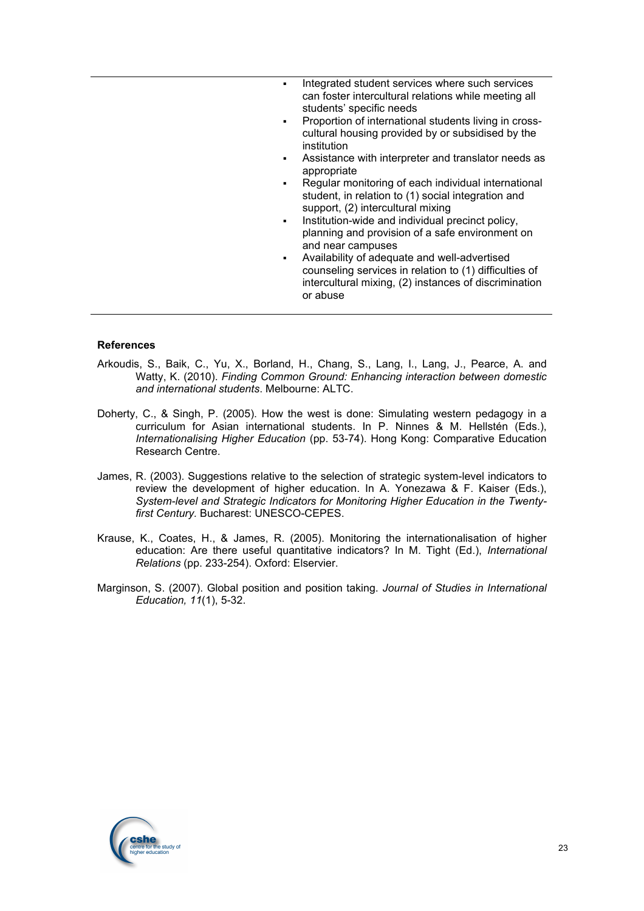- Integrated student services where such services can foster intercultural relations while meeting all students' specific needs
- Proportion of international students living in crosscultural housing provided by or subsidised by the institution
- Assistance with interpreter and translator needs as appropriate
- Regular monitoring of each individual international student, in relation to (1) social integration and support, (2) intercultural mixing
- Institution-wide and individual precinct policy, planning and provision of a safe environment on and near campuses
- Availability of adequate and well-advertised counseling services in relation to (1) difficulties of intercultural mixing, (2) instances of discrimination or abuse

#### **References**

- Arkoudis, S., Baik, C., Yu, X., Borland, H., Chang, S., Lang, I., Lang, J., Pearce, A. and Watty, K. (2010). *Finding Common Ground: Enhancing interaction between domestic and international students*. Melbourne: ALTC.
- Doherty, C., & Singh, P. (2005). How the west is done: Simulating western pedagogy in a curriculum for Asian international students. In P. Ninnes & M. Hellstén (Eds.), *Internationalising Higher Education* (pp. 53-74). Hong Kong: Comparative Education Research Centre.
- James, R. (2003). Suggestions relative to the selection of strategic system-level indicators to review the development of higher education. In A. Yonezawa & F. Kaiser (Eds.), *System-level and Strategic Indicators for Monitoring Higher Education in the Twentyfirst Century.* Bucharest: UNESCO-CEPES.
- Krause, K., Coates, H., & James, R. (2005). Monitoring the internationalisation of higher education: Are there useful quantitative indicators? In M. Tight (Ed.), *International Relations* (pp. 233-254). Oxford: Elservier.
- Marginson, S. (2007). Global position and position taking. *Journal of Studies in International Education, 11*(1), 5-32.

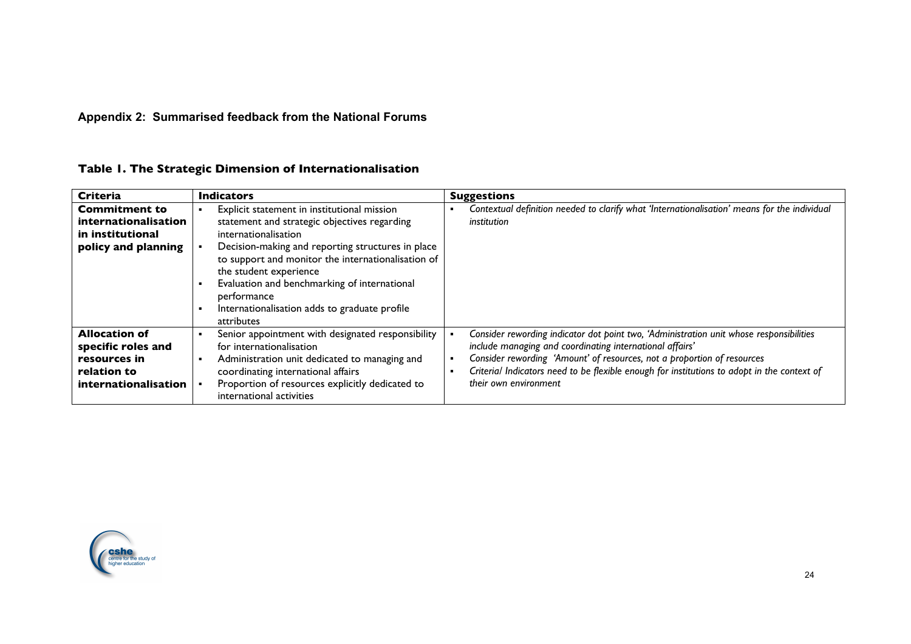# **Appendix 2: Summarised feedback from the National Forums**

| <b>Criteria</b>                                                                                   | <b>Indicators</b>                                                                                                                                                                                                                                                                                                                                                                      | <b>Suggestions</b>                                                                                                                                                                                                                                                                                                                                     |
|---------------------------------------------------------------------------------------------------|----------------------------------------------------------------------------------------------------------------------------------------------------------------------------------------------------------------------------------------------------------------------------------------------------------------------------------------------------------------------------------------|--------------------------------------------------------------------------------------------------------------------------------------------------------------------------------------------------------------------------------------------------------------------------------------------------------------------------------------------------------|
| <b>Commitment to</b><br>internationalisation<br>in institutional<br>policy and planning           | Explicit statement in institutional mission<br>statement and strategic objectives regarding<br>internationalisation<br>Decision-making and reporting structures in place<br>to support and monitor the internationalisation of<br>the student experience<br>Evaluation and benchmarking of international<br>performance<br>Internationalisation adds to graduate profile<br>attributes | Contextual definition needed to clarify what 'Internationalisation' means for the individual<br>institution                                                                                                                                                                                                                                            |
| <b>Allocation of</b><br>specific roles and<br>resources in<br>relation to<br>internationalisation | Senior appointment with designated responsibility<br>for internationalisation<br>Administration unit dedicated to managing and<br>coordinating international affairs<br>Proportion of resources explicitly dedicated to<br>international activities                                                                                                                                    | Consider rewording indicator dot point two, 'Administration unit whose responsibilities<br>include managing and coordinating international affairs'<br>Consider rewording 'Amount' of resources, not a proportion of resources<br>Criterial Indicators need to be flexible enough for institutions to adopt in the context of<br>their own environment |

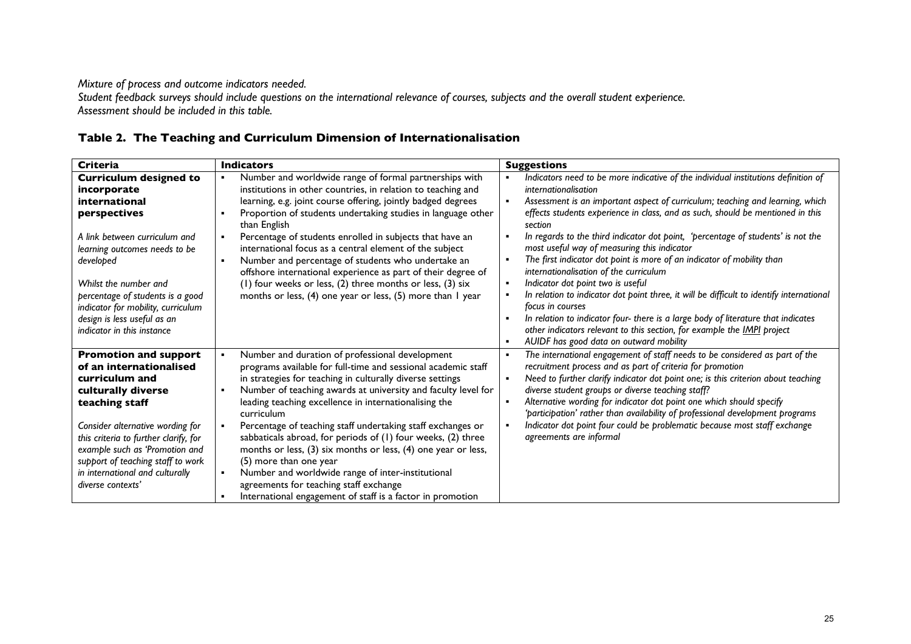*Mixture of process and outcome indicators needed.*

*Student feedback surveys should include questions on the international relevance of courses, subjects and the overall student experience. Assessment should be included in this table.*

| <b>Criteria</b>                                                        | <b>Indicators</b>                                                                                                   | <b>Suggestions</b>                                                                                                                                         |
|------------------------------------------------------------------------|---------------------------------------------------------------------------------------------------------------------|------------------------------------------------------------------------------------------------------------------------------------------------------------|
| <b>Curriculum designed to</b>                                          | Number and worldwide range of formal partnerships with                                                              | Indicators need to be more indicative of the individual institutions definition of<br>$\blacksquare$                                                       |
| incorporate                                                            | institutions in other countries, in relation to teaching and                                                        | internationalisation                                                                                                                                       |
| international                                                          | learning, e.g. joint course offering, jointly badged degrees                                                        | Assessment is an important aspect of curriculum; teaching and learning, which<br>$\blacksquare$                                                            |
| perspectives                                                           | Proportion of students undertaking studies in language other<br>than English                                        | effects students experience in class, and as such, should be mentioned in this<br>section                                                                  |
| A link between curriculum and<br>learning outcomes needs to be         | Percentage of students enrolled in subjects that have an<br>international focus as a central element of the subject | In regards to the third indicator dot point, 'percentage of students' is not the<br>$\blacksquare$<br>most useful way of measuring this indicator          |
| developed                                                              | Number and percentage of students who undertake an<br>offshore international experience as part of their degree of  | The first indicator dot point is more of an indicator of mobility than<br>$\blacksquare$<br>internationalisation of the curriculum                         |
| Whilst the number and                                                  | (1) four weeks or less, (2) three months or less, (3) six                                                           | Indicator dot point two is useful<br>$\blacksquare$                                                                                                        |
| percentage of students is a good<br>indicator for mobility, curriculum | months or less, (4) one year or less, (5) more than I year                                                          | In relation to indicator dot point three, it will be difficult to identify international<br>$\blacksquare$<br>focus in courses                             |
| design is less useful as an                                            |                                                                                                                     | In relation to indicator four- there is a large body of literature that indicates                                                                          |
| indicator in this instance                                             |                                                                                                                     | other indicators relevant to this section, for example the IMPI project<br>AUIDF has good data on outward mobility<br>л                                    |
| <b>Promotion and support</b>                                           | Number and duration of professional development                                                                     | The international engagement of staff needs to be considered as part of the<br>$\blacksquare$                                                              |
| of an internationalised                                                | programs available for full-time and sessional academic staff                                                       | recruitment process and as part of criteria for promotion                                                                                                  |
| curriculum and                                                         | in strategies for teaching in culturally diverse settings                                                           | Need to further clarify indicator dot point one; is this criterion about teaching<br>×                                                                     |
| culturally diverse                                                     | Number of teaching awards at university and faculty level for                                                       | diverse student groups or diverse teaching staff?                                                                                                          |
| teaching staff                                                         | leading teaching excellence in internationalising the<br>curriculum                                                 | Alternative wording for indicator dot point one which should specify<br>×<br>'participation' rather than availability of professional development programs |
| Consider alternative wording for                                       | Percentage of teaching staff undertaking staff exchanges or                                                         | Indicator dot point four could be problematic because most staff exchange<br>$\blacksquare$                                                                |
| this criteria to further clarify, for                                  | sabbaticals abroad, for periods of (1) four weeks, (2) three                                                        | agreements are informal                                                                                                                                    |
| example such as 'Promotion and                                         | months or less, (3) six months or less, (4) one year or less,                                                       |                                                                                                                                                            |
| support of teaching staff to work                                      | (5) more than one year                                                                                              |                                                                                                                                                            |
| in international and culturally                                        | Number and worldwide range of inter-institutional                                                                   |                                                                                                                                                            |
| diverse contexts'                                                      | agreements for teaching staff exchange                                                                              |                                                                                                                                                            |
|                                                                        | International engagement of staff is a factor in promotion                                                          |                                                                                                                                                            |

# **Table 2. The Teaching and Curriculum Dimension of Internationalisation**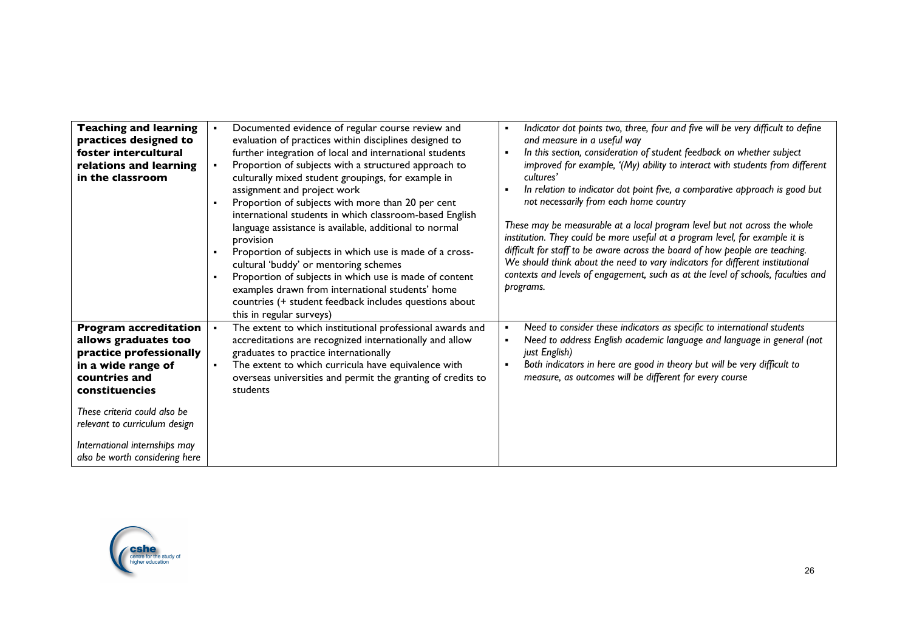| <b>Teaching and learning</b><br>practices designed to<br>foster intercultural<br>relations and learning<br>in the classroom                                                                                                                                                  | Documented evidence of regular course review and<br>$\bullet$<br>evaluation of practices within disciplines designed to<br>further integration of local and international students<br>Proportion of subjects with a structured approach to<br>$\blacksquare$<br>culturally mixed student groupings, for example in<br>assignment and project work<br>Proportion of subjects with more than 20 per cent<br>$\blacksquare$<br>international students in which classroom-based English<br>language assistance is available, additional to normal<br>provision<br>Proportion of subjects in which use is made of a cross-<br>cultural 'buddy' or mentoring schemes<br>Proportion of subjects in which use is made of content<br>$\blacksquare$<br>examples drawn from international students' home<br>countries (+ student feedback includes questions about<br>this in regular surveys) | Indicator dot points two, three, four and five will be very difficult to define<br>$\blacksquare$<br>and measure in a useful way<br>In this section, consideration of student feedback on whether subject<br>$\blacksquare$<br>improved for example, '(My) ability to interact with students from different<br>cultures'<br>In relation to indicator dot point five, a comparative approach is good but<br>$\blacksquare$<br>not necessarily from each home country<br>These may be measurable at a local program level but not across the whole<br>institution. They could be more useful at a program level, for example it is<br>difficult for staff to be aware across the board of how people are teaching.<br>We should think about the need to vary indicators for different institutional<br>contexts and levels of engagement, such as at the level of schools, faculties and<br>programs. |
|------------------------------------------------------------------------------------------------------------------------------------------------------------------------------------------------------------------------------------------------------------------------------|--------------------------------------------------------------------------------------------------------------------------------------------------------------------------------------------------------------------------------------------------------------------------------------------------------------------------------------------------------------------------------------------------------------------------------------------------------------------------------------------------------------------------------------------------------------------------------------------------------------------------------------------------------------------------------------------------------------------------------------------------------------------------------------------------------------------------------------------------------------------------------------|-----------------------------------------------------------------------------------------------------------------------------------------------------------------------------------------------------------------------------------------------------------------------------------------------------------------------------------------------------------------------------------------------------------------------------------------------------------------------------------------------------------------------------------------------------------------------------------------------------------------------------------------------------------------------------------------------------------------------------------------------------------------------------------------------------------------------------------------------------------------------------------------------------|
| <b>Program accreditation</b><br>allows graduates too<br>practice professionally<br>in a wide range of<br>countries and<br>constituencies<br>These criteria could also be<br>relevant to curriculum design<br>International internships may<br>also be worth considering here | The extent to which institutional professional awards and<br>$\bullet$<br>accreditations are recognized internationally and allow<br>graduates to practice internationally<br>The extent to which curricula have equivalence with<br>$\blacksquare$<br>overseas universities and permit the granting of credits to<br>students                                                                                                                                                                                                                                                                                                                                                                                                                                                                                                                                                       | Need to consider these indicators as specific to international students<br>$\blacksquare$<br>Need to address English academic language and language in general (not<br>just English)<br>Both indicators in here are good in theory but will be very difficult to<br>measure, as outcomes will be different for every course                                                                                                                                                                                                                                                                                                                                                                                                                                                                                                                                                                         |

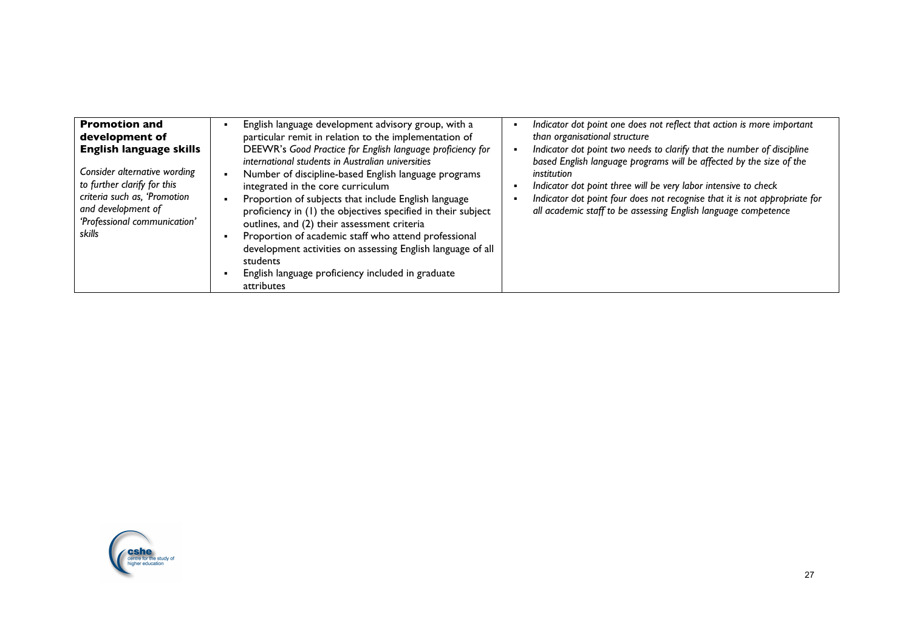| <b>Promotion and</b><br>development of<br><b>English language skills</b><br>Consider alternative wording<br>to further clarify for this<br>criteria such as, 'Promotion<br>and development of<br>'Professional communication'<br>skills | English language development advisory group, with a<br>particular remit in relation to the implementation of<br>DEEWR's Good Practice for English language proficiency for<br>international students in Australian universities<br>Number of discipline-based English language programs<br>integrated in the core curriculum<br>Proportion of subjects that include English language<br>proficiency in (1) the objectives specified in their subject<br>outlines, and (2) their assessment criteria<br>Proportion of academic staff who attend professional<br>development activities on assessing English language of all<br>students<br>English language proficiency included in graduate<br>attributes | Indicator dot point one does not reflect that action is more important<br>than organisational structure<br>Indicator dot point two needs to clarify that the number of discipline<br>based English language programs will be affected by the size of the<br>institution<br>Indicator dot point three will be very labor intensive to check<br>Indicator dot point four does not recognise that it is not appropriate for<br>all academic staff to be assessing English language competence |
|-----------------------------------------------------------------------------------------------------------------------------------------------------------------------------------------------------------------------------------------|-----------------------------------------------------------------------------------------------------------------------------------------------------------------------------------------------------------------------------------------------------------------------------------------------------------------------------------------------------------------------------------------------------------------------------------------------------------------------------------------------------------------------------------------------------------------------------------------------------------------------------------------------------------------------------------------------------------|--------------------------------------------------------------------------------------------------------------------------------------------------------------------------------------------------------------------------------------------------------------------------------------------------------------------------------------------------------------------------------------------------------------------------------------------------------------------------------------------|
|-----------------------------------------------------------------------------------------------------------------------------------------------------------------------------------------------------------------------------------------|-----------------------------------------------------------------------------------------------------------------------------------------------------------------------------------------------------------------------------------------------------------------------------------------------------------------------------------------------------------------------------------------------------------------------------------------------------------------------------------------------------------------------------------------------------------------------------------------------------------------------------------------------------------------------------------------------------------|--------------------------------------------------------------------------------------------------------------------------------------------------------------------------------------------------------------------------------------------------------------------------------------------------------------------------------------------------------------------------------------------------------------------------------------------------------------------------------------------|

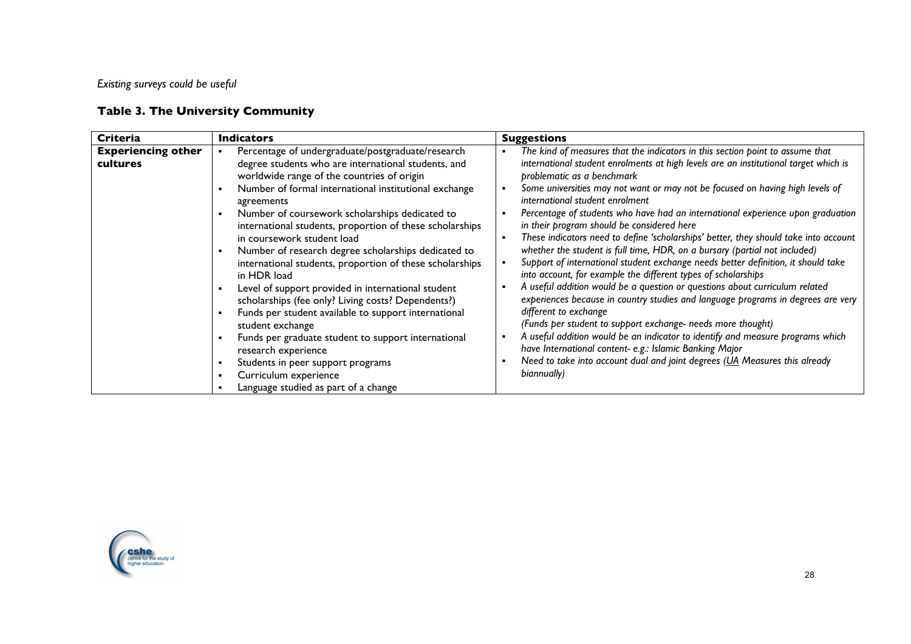*Existing surveys could be useful*

# **Table 3. The University Community**

| <b>Criteria</b>                       | <b>Indicators</b>                                                                                                                                                                                                                                                                                                                                                                                                                                                                                                                                                                                                                                                                                                                                                                                                                                                                                              | <b>Suggestions</b>                                                                                                                                                                                                                                                                                                                                                                                                                                                                                                                                                                                                                                                                                                                                                                                                                                                                                                                                                                                                                                                                                                                                                                                                                                                                        |
|---------------------------------------|----------------------------------------------------------------------------------------------------------------------------------------------------------------------------------------------------------------------------------------------------------------------------------------------------------------------------------------------------------------------------------------------------------------------------------------------------------------------------------------------------------------------------------------------------------------------------------------------------------------------------------------------------------------------------------------------------------------------------------------------------------------------------------------------------------------------------------------------------------------------------------------------------------------|-------------------------------------------------------------------------------------------------------------------------------------------------------------------------------------------------------------------------------------------------------------------------------------------------------------------------------------------------------------------------------------------------------------------------------------------------------------------------------------------------------------------------------------------------------------------------------------------------------------------------------------------------------------------------------------------------------------------------------------------------------------------------------------------------------------------------------------------------------------------------------------------------------------------------------------------------------------------------------------------------------------------------------------------------------------------------------------------------------------------------------------------------------------------------------------------------------------------------------------------------------------------------------------------|
| <b>Experiencing other</b><br>cultures | Percentage of undergraduate/postgraduate/research<br>degree students who are international students, and<br>worldwide range of the countries of origin<br>Number of formal international institutional exchange<br>agreements<br>Number of coursework scholarships dedicated to<br>$\blacksquare$<br>international students, proportion of these scholarships<br>in coursework student load<br>Number of research degree scholarships dedicated to<br>٠<br>international students, proportion of these scholarships<br>in HDR load<br>Level of support provided in international student<br>scholarships (fee only? Living costs? Dependents?)<br>Funds per student available to support international<br>student exchange<br>Funds per graduate student to support international<br>research experience<br>Students in peer support programs<br>Curriculum experience<br>Language studied as part of a change | The kind of measures that the indicators in this section point to assume that<br>international student enrolments at high levels are an institutional target which is<br>problematic as a benchmark<br>Some universities may not want or may not be focused on having high levels of<br>international student enrolment<br>Percentage of students who have had an international experience upon graduation<br>in their program should be considered here<br>These indicators need to define 'scholarships' better, they should take into account<br>whether the student is full time, HDR, on a bursary (partial not included)<br>Support of international student exchange needs better definition, it should take<br>into account, for example the different types of scholarships<br>A useful addition would be a question or questions about curriculum related<br>experiences because in country studies and language programs in degrees are very<br>different to exchange<br>(Funds per student to support exchange- needs more thought)<br>A useful addition would be an indicator to identify and measure programs which<br>have International content- e.g.: Islamic Banking Major<br>Need to take into account dual and joint degrees (UA Measures this already<br>biannually) |

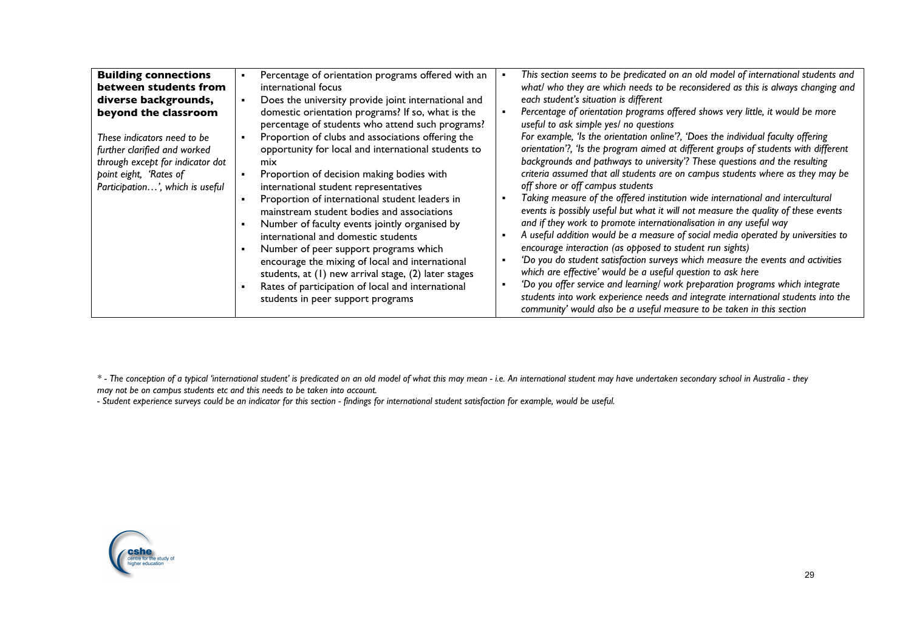| <b>Building connections</b><br>between students from<br>diverse backgrounds,<br>beyond the classroom<br>These indicators need to be<br>further clarified and worked<br>through except for indicator dot<br>point eight, 'Rates of<br>Participation', which is useful | Percentage of orientation programs offered with an<br>international focus<br>Does the university provide joint international and<br>domestic orientation programs? If so, what is the<br>percentage of students who attend such programs?<br>Proportion of clubs and associations offering the<br>opportunity for local and international students to<br>mix<br>Proportion of decision making bodies with<br>international student representatives<br>Proportion of international student leaders in<br>mainstream student bodies and associations<br>Number of faculty events jointly organised by<br>international and domestic students<br>Number of peer support programs which<br>encourage the mixing of local and international<br>students, at (1) new arrival stage, (2) later stages<br>Rates of participation of local and international<br>students in peer support programs |
|----------------------------------------------------------------------------------------------------------------------------------------------------------------------------------------------------------------------------------------------------------------------|------------------------------------------------------------------------------------------------------------------------------------------------------------------------------------------------------------------------------------------------------------------------------------------------------------------------------------------------------------------------------------------------------------------------------------------------------------------------------------------------------------------------------------------------------------------------------------------------------------------------------------------------------------------------------------------------------------------------------------------------------------------------------------------------------------------------------------------------------------------------------------------|
|----------------------------------------------------------------------------------------------------------------------------------------------------------------------------------------------------------------------------------------------------------------------|------------------------------------------------------------------------------------------------------------------------------------------------------------------------------------------------------------------------------------------------------------------------------------------------------------------------------------------------------------------------------------------------------------------------------------------------------------------------------------------------------------------------------------------------------------------------------------------------------------------------------------------------------------------------------------------------------------------------------------------------------------------------------------------------------------------------------------------------------------------------------------------|

*\* - The conception of a typical 'international student' is predicated on an old model of what this may mean - i.e. An international student may have undertaken secondary school in Australia - they may not be on campus students etc and this needs to be taken into account.* 

*- Student experience surveys could be an indicator for this section - findings for international student satisfaction for example, would be useful.*